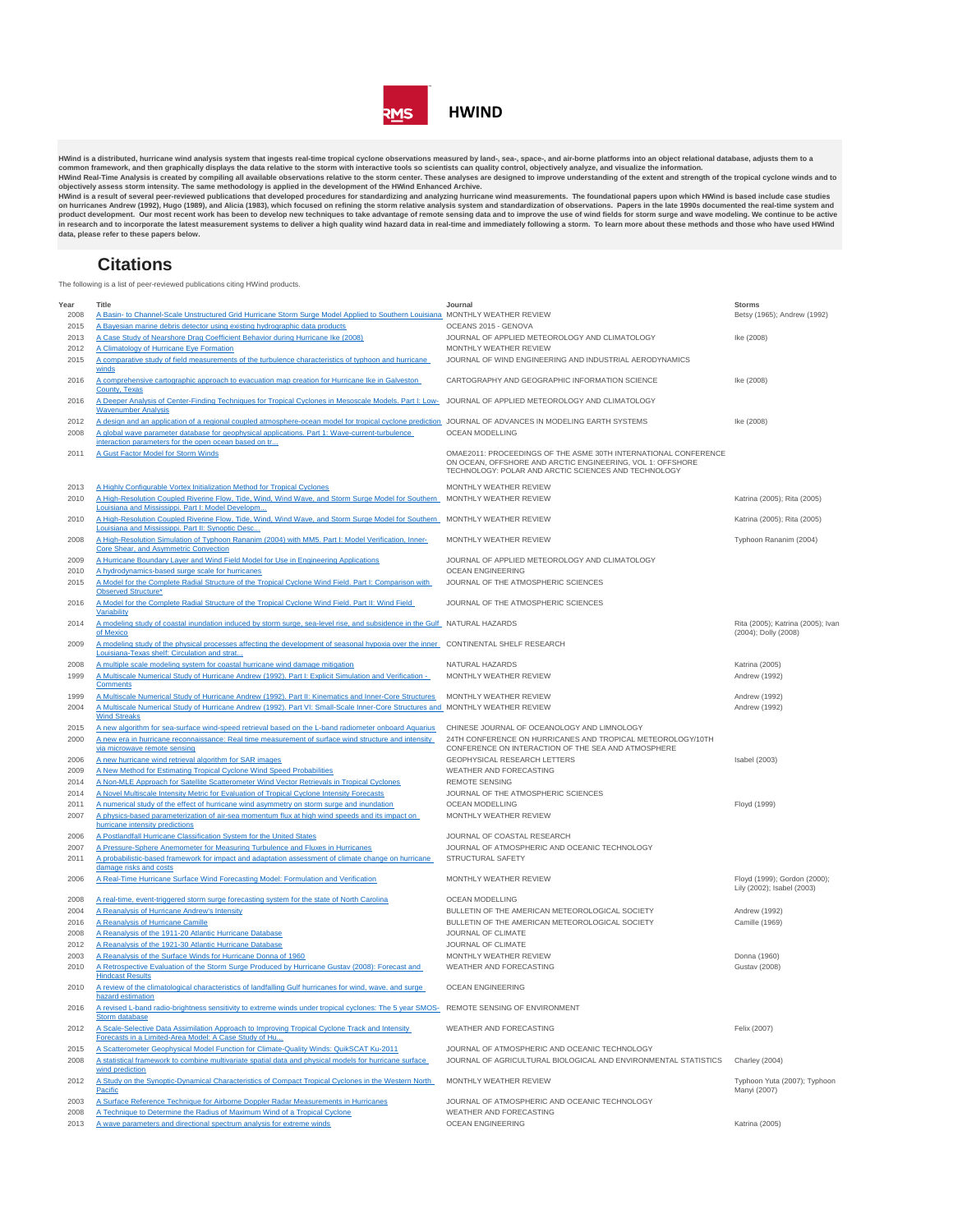

HWind is a distributed, hurricane wind analysis system that ingests real-time tropical cyclone observations measured by land-, sea-, space-, and air-borne platforms into an object relational database, adjusts them to a<br>com **data, please refer to these papers below.**

## **Citations**

The following is a list of peer-reviewed publications citing HWind products.

| Year         | Title                                                                                                                                                                                                                                        | Journal                                                                                                                                                                               | <b>Storms</b>                                              |
|--------------|----------------------------------------------------------------------------------------------------------------------------------------------------------------------------------------------------------------------------------------------|---------------------------------------------------------------------------------------------------------------------------------------------------------------------------------------|------------------------------------------------------------|
| 2008         | A Basin- to Channel-Scale Unstructured Grid Hurricane Storm Surge Model Applied to Southern Louisiana MONTHLY WEATHER REVIEW                                                                                                                 |                                                                                                                                                                                       | Betsy (1965); Andrew (1992)                                |
| 2015<br>2013 | A Bayesian marine debris detector using existing hydrographic data products<br>A Case Study of Nearshore Drag Coefficient Behavior during Hurricane Ike (2008)                                                                               | OCEANS 2015 - GENOVA<br>JOURNAL OF APPLIED METEOROLOGY AND CLIMATOLOGY                                                                                                                | Ike (2008)                                                 |
| 2012         | A Climatology of Hurricane Eye Formation                                                                                                                                                                                                     | MONTHLY WEATHER REVIEW                                                                                                                                                                |                                                            |
| 2015         | A comparative study of field measurements of the turbulence characteristics of typhoon and hurricane<br>winds                                                                                                                                | JOURNAL OF WIND ENGINEERING AND INDUSTRIAL AERODYNAMICS                                                                                                                               |                                                            |
| 2016         | A comprehensive cartographic approach to evacuation map creation for Hurricane Ike in Galveston<br>County, Texas                                                                                                                             | CARTOGRAPHY AND GEOGRAPHIC INFORMATION SCIENCE                                                                                                                                        | Ike (2008)                                                 |
| 2016         | A Deeper Analysis of Center-Finding Techniques for Tropical Cyclones in Mesoscale Models. Part I: Low-<br><b>Wavenumber Analysis</b>                                                                                                         | JOURNAL OF APPLIED METEOROLOGY AND CLIMATOLOGY                                                                                                                                        |                                                            |
| 2012         | A design and an application of a regional coupled atmosphere-ocean model for tropical cyclone prediction JOURNAL OF ADVANCES IN MODELING EARTH SYSTEMS                                                                                       |                                                                                                                                                                                       | Ike (2008)                                                 |
| 2008         | A global wave parameter database for geophysical applications. Part 1: Wave-current-turbulence<br>interaction parameters for the open ocean based on tr                                                                                      | OCEAN MODELLING                                                                                                                                                                       |                                                            |
| 2011         | A Gust Factor Model for Storm Winds                                                                                                                                                                                                          | OMAE2011: PROCEEDINGS OF THE ASME 30TH INTERNATIONAL CONFERENCE<br>ON OCEAN, OFFSHORE AND ARCTIC ENGINEERING, VOL 1: OFFSHORE<br>TECHNOLOGY: POLAR AND ARCTIC SCIENCES AND TECHNOLOGY |                                                            |
| 2013         | A Highly Configurable Vortex Initialization Method for Tropical Cyclones                                                                                                                                                                     | MONTHLY WEATHER REVIEW                                                                                                                                                                |                                                            |
| 2010         | A High-Resolution Coupled Riverine Flow, Tide, Wind, Wind Wave, and Storm Surge Model for Southern<br>Louisiana and Mississippi. Part I: Model Developm                                                                                      | MONTHLY WEATHER REVIEW                                                                                                                                                                | Katrina (2005); Rita (2005)                                |
| 2010         | A High-Resolution Coupled Riverine Flow, Tide, Wind, Wind Wave, and Storm Surge Model for Southern MONTHLY WEATHER REVIEW<br>Louisiana and Mississippi. Part II: Synoptic Desc                                                               |                                                                                                                                                                                       | Katrina (2005); Rita (2005)                                |
| 2008         | A High-Resolution Simulation of Typhoon Rananim (2004) with MM5. Part I: Model Verification, Inner-<br>Core Shear, and Asymmetric Convection                                                                                                 | MONTHLY WEATHER REVIEW                                                                                                                                                                | Typhoon Rananim (2004)                                     |
| 2009         | A Hurricane Boundary Layer and Wind Field Model for Use in Engineering Applications                                                                                                                                                          | JOURNAL OF APPLIED METEOROLOGY AND CLIMATOLOGY                                                                                                                                        |                                                            |
| 2010         | A hydrodynamics-based surge scale for hurricanes                                                                                                                                                                                             | OCEAN ENGINEERING                                                                                                                                                                     |                                                            |
| 2015         | A Model for the Complete Radial Structure of the Tropical Cyclone Wind Field. Part I: Comparison with<br><b>Observed Structure*</b>                                                                                                          | JOURNAL OF THE ATMOSPHERIC SCIENCES                                                                                                                                                   |                                                            |
| 2016         | A Model for the Complete Radial Structure of the Tropical Cyclone Wind Field. Part II: Wind Field<br>Variability                                                                                                                             | JOURNAL OF THE ATMOSPHERIC SCIENCES                                                                                                                                                   |                                                            |
| 2014         | A modeling study of coastal inundation induced by storm surge, sea-level rise, and subsidence in the Gulf NATURAL HAZARDS<br>of Mexico                                                                                                       |                                                                                                                                                                                       | Rita (2005); Katrina (2005); Ivan<br>(2004); Dolly (2008)  |
| 2009         | A modeling study of the physical processes affecting the development of seasonal hypoxia over the inner CONTINENTAL SHELF RESEARCH<br>Louisiana-Texas shelf: Circulation and strat                                                           |                                                                                                                                                                                       |                                                            |
| 2008         | A multiple scale modeling system for coastal hurricane wind damage mitigation                                                                                                                                                                | NATURAL HAZARDS                                                                                                                                                                       | Katrina (2005)                                             |
| 1999         | A Multiscale Numerical Study of Hurricane Andrew (1992). Part I: Explicit Simulation and Verification -<br>Comments                                                                                                                          | MONTHLY WEATHER REVIEW                                                                                                                                                                | Andrew (1992)                                              |
| 1999         | A Multiscale Numerical Study of Hurricane Andrew (1992). Part II: Kinematics and Inner-Core Structures                                                                                                                                       | MONTHLY WEATHER REVIEW                                                                                                                                                                | Andrew (1992)                                              |
| 2004         | A Multiscale Numerical Study of Hurricane Andrew (1992). Part VI: Small-Scale Inner-Core Structures and MONTHLY WEATHER REVIEW<br><b>Wind Streaks</b>                                                                                        |                                                                                                                                                                                       | Andrew (1992)                                              |
|              |                                                                                                                                                                                                                                              |                                                                                                                                                                                       |                                                            |
| 2015<br>2000 | A new algorithm for sea-surface wind-speed retrieval based on the L-band radiometer onboard Aquarius<br>A new era in hurricane reconnaissance: Real time measurement of surface wind structure and intensity<br>via microwave remote sensing | CHINESE JOURNAL OF OCEANOLOGY AND LIMNOLOGY<br>24TH CONFERENCE ON HURRICANES AND TROPICAL METEOROLOGY/10TH<br>CONFERENCE ON INTERACTION OF THE SEA AND ATMOSPHERE                     |                                                            |
| 2006         | A new hurricane wind retrieval algorithm for SAR images                                                                                                                                                                                      | GEOPHYSICAL RESEARCH LETTERS                                                                                                                                                          | Isabel (2003)                                              |
| 2009         | A New Method for Estimating Tropical Cyclone Wind Speed Probabilities                                                                                                                                                                        | WEATHER AND FORECASTING                                                                                                                                                               |                                                            |
| 2014         | A Non-MLE Approach for Satellite Scatterometer Wind Vector Retrievals in Tropical Cyclones                                                                                                                                                   | <b>REMOTE SENSING</b>                                                                                                                                                                 |                                                            |
| 2014         | A Novel Multiscale Intensity Metric for Evaluation of Tropical Cyclone Intensity Forecasts                                                                                                                                                   | JOURNAL OF THE ATMOSPHERIC SCIENCES                                                                                                                                                   |                                                            |
| 2011         | A numerical study of the effect of hurricane wind asymmetry on storm surge and inundation                                                                                                                                                    | OCEAN MODELLING                                                                                                                                                                       | Floyd (1999)                                               |
| 2007         | A physics-based parameterization of air-sea momentum flux at high wind speeds and its impact on<br>hurricane intensity predictions                                                                                                           | MONTHLY WEATHER REVIEW                                                                                                                                                                |                                                            |
| 2006         | A Postlandfall Hurricane Classification System for the United States                                                                                                                                                                         | JOURNAL OF COASTAL RESEARCH                                                                                                                                                           |                                                            |
| 2007         | A Pressure-Sphere Anemometer for Measuring Turbulence and Fluxes in Hurricanes                                                                                                                                                               | JOURNAL OF ATMOSPHERIC AND OCEANIC TECHNOLOGY                                                                                                                                         |                                                            |
| 2011         | A probabilistic-based framework for impact and adaptation assessment of climate change on hurricane<br>damage risks and costs                                                                                                                | STRUCTURAL SAFETY                                                                                                                                                                     |                                                            |
| 2006         | A Real-Time Hurricane Surface Wind Forecasting Model: Formulation and Verification                                                                                                                                                           | MONTHLY WEATHER REVIEW                                                                                                                                                                | Floyd (1999); Gordon (2000);<br>Lily (2002); Isabel (2003) |
| 2008         | A real-time, event-triggered storm surge forecasting system for the state of North Carolina                                                                                                                                                  | OCEAN MODELLING                                                                                                                                                                       |                                                            |
| 2004         | A Reanalysis of Hurricane Andrew's Intensity                                                                                                                                                                                                 | BULLETIN OF THE AMERICAN METEOROLOGICAL SOCIETY                                                                                                                                       | Andrew (1992)                                              |
| 2016         | A Reanalysis of Hurricane Camille                                                                                                                                                                                                            | BULLETIN OF THE AMERICAN METEOROLOGICAL SOCIETY                                                                                                                                       | Camille (1969)                                             |
| 2008<br>2012 | A Reanalysis of the 1911-20 Atlantic Hurricane Database<br>A Reanalysis of the 1921-30 Atlantic Hurricane Database                                                                                                                           | JOURNAL OF CLIMATE<br>JOURNAL OF CLIMATE                                                                                                                                              |                                                            |
| 2003         | A Reanalysis of the Surface Winds for Hurricane Donna of 1960                                                                                                                                                                                | MONTHLY WEATHER REVIEW                                                                                                                                                                | Donna (1960)                                               |
| 2010         | A Retrospective Evaluation of the Storm Surge Produced by Hurricane Gustav (2008): Forecast and<br><b>Hindcast Results</b>                                                                                                                   | WEATHER AND FORECASTING                                                                                                                                                               | <b>Gustav (2008)</b>                                       |
| 2010         | A review of the climatological characteristics of landfalling Gulf hurricanes for wind, wave, and surge<br>hazard estimation                                                                                                                 | OCEAN ENGINEERING                                                                                                                                                                     |                                                            |
| 2016         | A revised L-band radio-brightness sensitivity to extreme winds under tropical cyclones: The 5 year SMOS- REMOTE SENSING OF ENVIRONMENT<br>Storm database                                                                                     |                                                                                                                                                                                       |                                                            |
| 2012         | A Scale-Selective Data Assimilation Approach to Improving Tropical Cyclone Track and Intensity<br>Forecasts in a Limited-Area Model: A Case Study of Hu                                                                                      | WEATHER AND FORECASTING                                                                                                                                                               | Felix (2007)                                               |
| 2015         | A Scatterometer Geophysical Model Function for Climate-Quality Winds: QuikSCAT Ku-2011                                                                                                                                                       | JOURNAL OF ATMOSPHERIC AND OCEANIC TECHNOLOGY                                                                                                                                         |                                                            |
| 2008         | A statistical framework to combine multivariate spatial data and physical models for hurricane surface<br>wind prediction                                                                                                                    | JOURNAL OF AGRICULTURAL BIOLOGICAL AND ENVIRONMENTAL STATISTICS                                                                                                                       | Charley (2004)                                             |
| 2012         | A Study on the Synoptic-Dynamical Characteristics of Compact Tropical Cyclones in the Western North<br>Pacific                                                                                                                               | MONTHLY WEATHER REVIEW                                                                                                                                                                | Typhoon Yuta (2007); Typhoon<br>Manyi (2007)               |
| 2003         | A Surface Reference Technique for Airborne Doppler Radar Measurements in Hurricanes                                                                                                                                                          | JOURNAL OF ATMOSPHERIC AND OCEANIC TECHNOLOGY                                                                                                                                         |                                                            |
| 2008<br>2013 | A Technique to Determine the Radius of Maximum Wind of a Tropical Cyclone<br>A wave parameters and directional spectrum analysis for extreme winds                                                                                           | WEATHER AND FORECASTING<br><b>OCEAN ENGINEERING</b>                                                                                                                                   | Katrina (2005)                                             |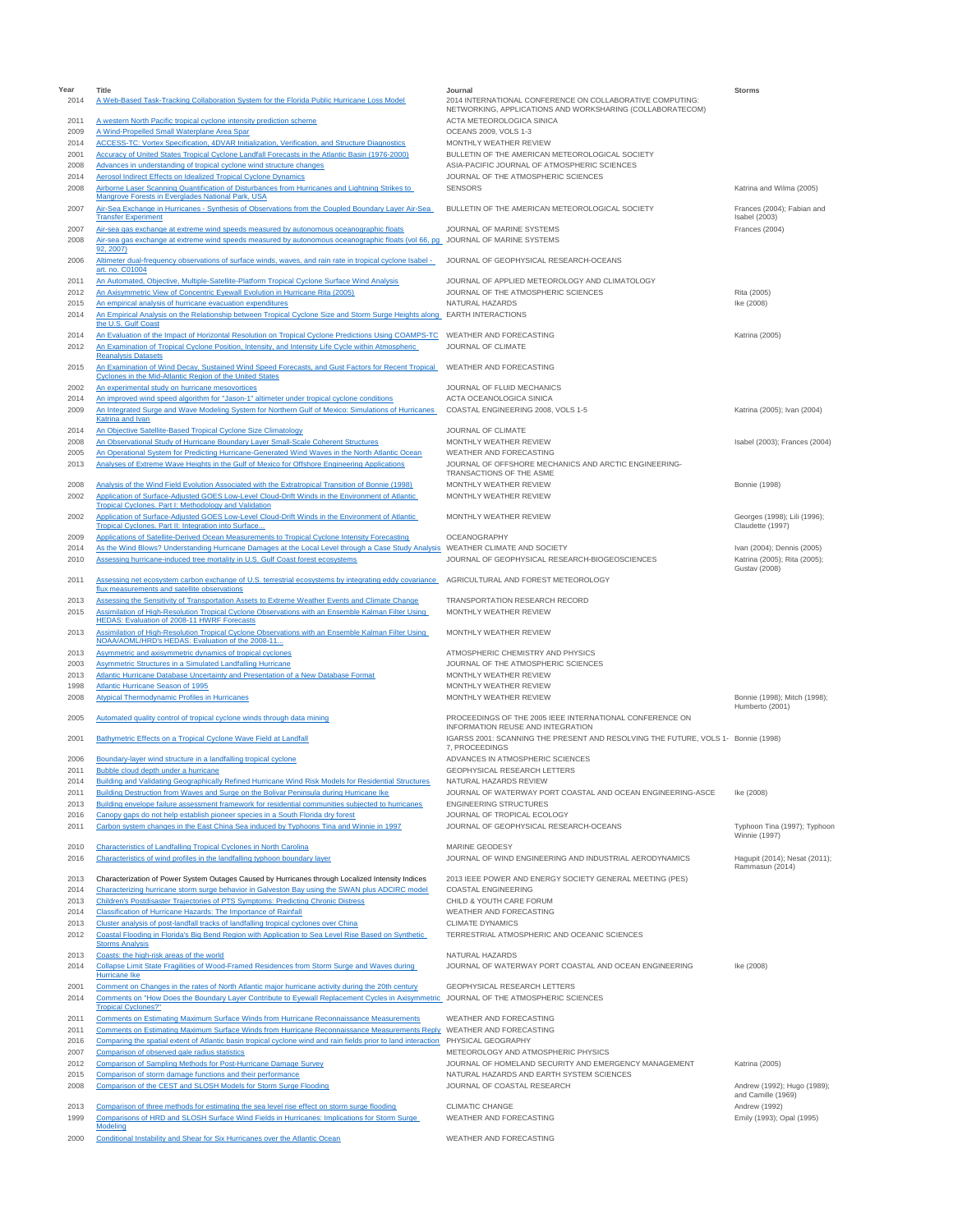| Year         | Title                                                                                                                                                                                                 | Journal                                                                                                                | <b>Storms</b>                                        |
|--------------|-------------------------------------------------------------------------------------------------------------------------------------------------------------------------------------------------------|------------------------------------------------------------------------------------------------------------------------|------------------------------------------------------|
| 2014         | A Web-Based Task-Tracking Collaboration System for the Florida Public Hurricane Loss Model                                                                                                            | 2014 INTERNATIONAL CONFERENCE ON COLLABORATIVE COMPUTING:<br>NETWORKING, APPLICATIONS AND WORKSHARING (COLLABORATECOM) |                                                      |
| 2011<br>2009 | A western North Pacific tropical cyclone intensity prediction scheme<br>A Wind-Propelled Small Waterplane Area Spar                                                                                   | ACTA METEOROLOGICA SINICA<br>OCEANS 2009, VOLS 1-3                                                                     |                                                      |
| 2014         | ACCESS-TC: Vortex Specification, 4DVAR Initialization, Verification, and Structure Diagnostics                                                                                                        | MONTHLY WEATHER REVIEW                                                                                                 |                                                      |
| 2001         | Accuracy of United States Tropical Cyclone Landfall Forecasts in the Atlantic Basin (1976-2000)                                                                                                       | BULLETIN OF THE AMERICAN METEOROLOGICAL SOCIETY                                                                        |                                                      |
| 2008         | Advances in understanding of tropical cyclone wind structure changes                                                                                                                                  | ASIA-PACIFIC JOURNAL OF ATMOSPHERIC SCIENCES                                                                           |                                                      |
| 2014         | <b>Aerosol Indirect Effects on Idealized Tropical Cyclone Dynamics</b>                                                                                                                                | JOURNAL OF THE ATMOSPHERIC SCIENCES                                                                                    |                                                      |
| 2008         | Airborne Laser Scanning Quantification of Disturbances from Hurricanes and Lightning Strikes to                                                                                                       | <b>SENSORS</b>                                                                                                         | Katrina and Wilma (2005)                             |
| 2007         | Mangrove Forests in Everglades National Park, USA<br>Air-Sea Exchange in Hurricanes - Synthesis of Observations from the Coupled Boundary Layer Air-Sea                                               | BULLETIN OF THE AMERICAN METEOROLOGICAL SOCIETY                                                                        | Frances (2004); Fabian and                           |
| 2007         | <b>Transfer Experiment</b><br>Air-sea gas exchange at extreme wind speeds measured by autonomous oceanographic floats                                                                                 | JOURNAL OF MARINE SYSTEMS                                                                                              | Isabel (2003)<br>Frances (2004)                      |
| 2008         | Air-sea gas exchange at extreme wind speeds measured by autonomous oceanographic floats (vol 66, pg JOURNAL OF MARINE SYSTEMS                                                                         |                                                                                                                        |                                                      |
| 2006         | 92.2007)<br>Altimeter dual-frequency observations of surface winds, waves, and rain rate in tropical cyclone Isabel -<br>art. no. C01004                                                              | JOURNAL OF GEOPHYSICAL RESEARCH-OCEANS                                                                                 |                                                      |
| 2011         | An Automated, Objective, Multiple-Satellite-Platform Tropical Cyclone Surface Wind Analysis                                                                                                           | JOURNAL OF APPLIED METEOROLOGY AND CLIMATOLOGY                                                                         |                                                      |
| 2012         | An Axisymmetric View of Concentric Eyewall Evolution in Hurricane Rita (2005)                                                                                                                         | JOURNAL OF THE ATMOSPHERIC SCIENCES                                                                                    | Rita (2005)                                          |
| 2015         | An empirical analysis of hurricane evacuation expenditures                                                                                                                                            | NATURAL HAZARDS                                                                                                        | Ike (2008)                                           |
| 2014         | An Empirical Analysis on the Relationship between Tropical Cyclone Size and Storm Surge Heights along EARTH INTERACTIONS<br>the U.S. Gulf Coast                                                       |                                                                                                                        |                                                      |
| 2014         | An Evaluation of the Impact of Horizontal Resolution on Tropical Cyclone Predictions Using COAMPS-TC                                                                                                  | WEATHER AND FORECASTING                                                                                                | Katrina (2005)                                       |
| 2012         | An Examination of Tropical Cyclone Position, Intensity, and Intensity Life Cycle within Atmospheric<br><b>Reanalysis Datasets</b>                                                                     | JOURNAL OF CLIMATE                                                                                                     |                                                      |
| 2015         | An Examination of Wind Decay, Sustained Wind Speed Forecasts, and Gust Factors for Recent Tropical<br>Cyclones in the Mid-Atlantic Region of the United States                                        | WEATHER AND FORECASTING                                                                                                |                                                      |
| 2002         | An experimental study on hurricane mesovortices                                                                                                                                                       | JOURNAL OF FLUID MECHANICS                                                                                             |                                                      |
| 2014         | An improved wind speed algorithm for "Jason-1" altimeter under tropical cyclone conditions                                                                                                            | ACTA OCEANOLOGICA SINICA                                                                                               |                                                      |
| 2009         | An Integrated Surge and Wave Modeling System for Northern Gulf of Mexico: Simulations of Hurricanes                                                                                                   | COASTAL ENGINEERING 2008, VOLS 1-5                                                                                     | Katrina (2005); Ivan (2004)                          |
| 2014         | Katrina and Ivan<br>An Objective Satellite-Based Tropical Cyclone Size Climatology                                                                                                                    | JOURNAL OF CLIMATE                                                                                                     |                                                      |
| 2008         | An Observational Study of Hurricane Boundary Layer Small-Scale Coherent Structures                                                                                                                    | MONTHLY WEATHER REVIEW                                                                                                 | Isabel (2003); Frances (2004)                        |
| 2005         | An Operational System for Predicting Hurricane-Generated Wind Waves in the North Atlantic Ocean                                                                                                       | WEATHER AND FORECASTING                                                                                                |                                                      |
| 2013         | Analyses of Extreme Wave Heights in the Gulf of Mexico for Offshore Engineering Applications                                                                                                          | JOURNAL OF OFFSHORE MECHANICS AND ARCTIC ENGINEERING-                                                                  |                                                      |
|              |                                                                                                                                                                                                       | TRANSACTIONS OF THE ASME                                                                                               |                                                      |
| 2008<br>2002 | Analysis of the Wind Field Evolution Associated with the Extratropical Transition of Bonnie (1998)<br>Application of Surface-Adjusted GOES Low-Level Cloud-Drift Winds in the Environment of Atlantic | MONTHLY WEATHER REVIEW<br>MONTHLY WEATHER REVIEW                                                                       | <b>Bonnie</b> (1998)                                 |
|              | <b>Tropical Cyclones. Part I: Methodology and Validation</b>                                                                                                                                          |                                                                                                                        |                                                      |
| 2002         | Application of Surface-Adjusted GOES Low-Level Cloud-Drift Winds in the Environment of Atlantic                                                                                                       | MONTHLY WEATHER REVIEW                                                                                                 | Georges (1998); Lili (1996);                         |
| 2009         | Tropical Cyclones. Part II: Integration into Surface<br>Applications of Satellite-Derived Ocean Measurements to Tropical Cyclone Intensity Forecasting                                                | OCEANOGRAPHY                                                                                                           | Claudette (1997)                                     |
| 2014         | As the Wind Blows? Understanding Hurricane Damages at the Local Level through a Case Study Analysis WEATHER CLIMATE AND SOCIETY                                                                       |                                                                                                                        | Ivan (2004); Dennis (2005)                           |
| 2010         | Assessing hurricane-induced tree mortality in U.S. Gulf Coast forest ecosystems                                                                                                                       | JOURNAL OF GEOPHYSICAL RESEARCH-BIOGEOSCIENCES                                                                         | Katrina (2005); Rita (2005);                         |
| 2011         | Assessing net ecosystem carbon exchange of U.S. terrestrial ecosystems by integrating eddy covariance AGRICULTURAL AND FOREST METEOROLOGY                                                             |                                                                                                                        | Gustav (2008)                                        |
| 2013         | flux measurements and satellite observations<br>Assessing the Sensitivity of Transportation Assets to Extreme Weather Events and Climate Change                                                       | TRANSPORTATION RESEARCH RECORD                                                                                         |                                                      |
| 2015         | Assimilation of High-Resolution Tropical Cyclone Observations with an Ensemble Kalman Filter Using                                                                                                    | MONTHLY WEATHER REVIEW                                                                                                 |                                                      |
| 2013         | HEDAS: Evaluation of 2008-11 HWRF Forecasts<br>Assimilation of High-Resolution Tropical Cyclone Observations with an Ensemble Kalman Filter Using                                                     | MONTHLY WEATHER REVIEW                                                                                                 |                                                      |
|              | NOAA/AOML/HRD's HEDAS: Evaluation of the 2008-11                                                                                                                                                      |                                                                                                                        |                                                      |
| 2013<br>2003 | Asymmetric and axisymmetric dynamics of tropical cyclones<br><b>Asymmetric Structures in a Simulated Landfalling Hurricane</b>                                                                        | ATMOSPHERIC CHEMISTRY AND PHYSICS<br>JOURNAL OF THE ATMOSPHERIC SCIENCES                                               |                                                      |
| 2013         | Atlantic Hurricane Database Uncertainty and Presentation of a New Database Format                                                                                                                     | MONTHLY WEATHER REVIEW                                                                                                 |                                                      |
| 1998         | Atlantic Hurricane Season of 1995                                                                                                                                                                     | MONTHLY WEATHER REVIEW                                                                                                 |                                                      |
| 2008         | Atypical Thermodynamic Profiles in Hurricanes                                                                                                                                                         | MONTHLY WEATHER REVIEW                                                                                                 | Bonnie (1998); Mitch (1998);                         |
| 2005         | Automated quality control of tropical cyclone winds through data mining                                                                                                                               | PROCEEDINGS OF THE 2005 IEEE INTERNATIONAL CONFERENCE ON                                                               | Humberto (2001)                                      |
| 2001         | Bathymetric Effects on a Tropical Cyclone Wave Field at Landfall                                                                                                                                      | INFORMATION REUSE AND INTEGRATION<br>IGARSS 2001: SCANNING THE PRESENT AND RESOLVING THE FUTURE, VOLS 1- Bonnie (1998) |                                                      |
|              |                                                                                                                                                                                                       | 7. PROCEEDINGS                                                                                                         |                                                      |
| 2006         | Boundary-layer wind structure in a landfalling tropical cyclone                                                                                                                                       | ADVANCES IN ATMOSPHERIC SCIENCES                                                                                       |                                                      |
| 2011<br>2014 | Bubble cloud depth under a hurricane<br>Building and Validating Geographically Refined Hurricane Wind Risk Models for Residential Structures                                                          | GEOPHYSICAL RESEARCH LETTERS<br>NATURAL HAZARDS REVIEW                                                                 |                                                      |
| 2011         | Building Destruction from Waves and Surge on the Bolivar Peninsula during Hurricane Ike                                                                                                               | JOURNAL OF WATERWAY PORT COASTAL AND OCEAN ENGINEERING-ASCE                                                            | Ike (2008)                                           |
| 2013         | Building envelope failure assessment framework for residential communities subjected to hurricanes                                                                                                    | <b>ENGINEERING STRUCTURES</b>                                                                                          |                                                      |
| 2016         | Canopy gaps do not help establish pioneer species in a South Florida dry forest                                                                                                                       | JOURNAL OF TROPICAL ECOLOGY                                                                                            |                                                      |
| 2011         | Carbon system changes in the East China Sea induced by Typhoons Tina and Winnie in 1997                                                                                                               | JOURNAL OF GEOPHYSICAL RESEARCH-OCEANS                                                                                 | Typhoon Tina (1997); Typhoon<br><b>Winnie (1997)</b> |
| 2010         | <b>Characteristics of Landfalling Tropical Cyclones in North Carolina</b>                                                                                                                             | MARINE GEODESY                                                                                                         |                                                      |
| 2016         | Characteristics of wind profiles in the landfalling typhoon boundary layer                                                                                                                            | JOURNAL OF WIND ENGINEERING AND INDUSTRIAL AERODYNAMICS                                                                | Hagupit (2014); Nesat (2011);<br>Rammasun (2014)     |
| 2013         | Characterization of Power System Outages Caused by Hurricanes through Localized Intensity Indices                                                                                                     | 2013 IEEE POWER AND ENERGY SOCIETY GENERAL MEETING (PES)                                                               |                                                      |
| 2014         | Characterizing hurricane storm surge behavior in Galveston Bay using the SWAN plus ADCIRC model                                                                                                       | <b>COASTAL ENGINEERING</b>                                                                                             |                                                      |
| 2013         | Children's Postdisaster Trajectories of PTS Symptoms: Predicting Chronic Distress                                                                                                                     | CHILD & YOUTH CARE FORUM                                                                                               |                                                      |
| 2014         | Classification of Hurricane Hazards: The Importance of Rainfall                                                                                                                                       | WEATHER AND FORECASTING                                                                                                |                                                      |
| 2013<br>2012 | Cluster analysis of post-landfall tracks of landfalling tropical cyclones over China<br>Coastal Flooding in Florida's Big Bend Region with Application to Sea Level Rise Based on Synthetic           | <b>CLIMATE DYNAMICS</b><br>TERRESTRIAL ATMOSPHERIC AND OCEANIC SCIENCES                                                |                                                      |
|              | <b>Storms Analysis</b>                                                                                                                                                                                | NATURAL HAZARDS                                                                                                        |                                                      |
| 2013<br>2014 | Coasts: the high-risk areas of the world<br>Collapse Limit State Fragilities of Wood-Framed Residences from Storm Surge and Waves during                                                              | JOURNAL OF WATERWAY PORT COASTAL AND OCEAN ENGINEERING                                                                 | Ike (2008)                                           |
|              | Hurricane Ike                                                                                                                                                                                         |                                                                                                                        |                                                      |
| 2001         | Comment on Changes in the rates of North Atlantic major hurricane activity during the 20th century                                                                                                    | GEOPHYSICAL RESEARCH LETTERS                                                                                           |                                                      |
| 2014         | Comments on "How Does the Boundary Layer Contribute to Eyewall Replacement Cycles in Axisymmetric_JOURNAL OF THE ATMOSPHERIC SCIENCES<br><b>Tropical Cyclones?"</b>                                   |                                                                                                                        |                                                      |
| 2011         | Comments on Estimating Maximum Surface Winds from Hurricane Reconnaissance Measurements                                                                                                               | WEATHER AND FORECASTING                                                                                                |                                                      |
| 2011         | Comments on Estimating Maximum Surface Winds from Hurricane Reconnaissance Measurements Reply WEATHER AND FORECASTING                                                                                 |                                                                                                                        |                                                      |
| 2016         | Comparing the spatial extent of Atlantic basin tropical cyclone wind and rain fields prior to land interaction PHYSICAL GEOGRAPHY                                                                     |                                                                                                                        |                                                      |
| 2007         | Comparison of observed gale radius statistics                                                                                                                                                         | METEOROLOGY AND ATMOSPHERIC PHYSICS                                                                                    |                                                      |
| 2012         | Comparison of Sampling Methods for Post-Hurricane Damage Survey                                                                                                                                       | JOURNAL OF HOMELAND SECURITY AND EMERGENCY MANAGEMENT                                                                  | Katrina (2005)                                       |
| 2015<br>2008 | Comparison of storm damage functions and their performance<br>Comparison of the CEST and SLOSH Models for Storm Surge Flooding                                                                        | NATURAL HAZARDS AND EARTH SYSTEM SCIENCES<br>JOURNAL OF COASTAL RESEARCH                                               | Andrew (1992); Hugo (1989);                          |
|              |                                                                                                                                                                                                       |                                                                                                                        | and Camille (1969)                                   |
| 2013         | Comparison of three methods for estimating the sea level rise effect on storm surge flooding                                                                                                          | <b>CLIMATIC CHANGE</b>                                                                                                 | Andrew (1992)                                        |
| 1999         | Comparisons of HRD and SLOSH Surface Wind Fields in Hurricanes: Implications for Storm Surge<br>Modeling                                                                                              | WEATHER AND FORECASTING                                                                                                | Emily (1993); Opal (1995)                            |
| 2000         | Conditional Instability and Shear for Six Hurricanes over the Atlantic Ocean                                                                                                                          | WEATHER AND FORECASTING                                                                                                |                                                      |
|              |                                                                                                                                                                                                       |                                                                                                                        |                                                      |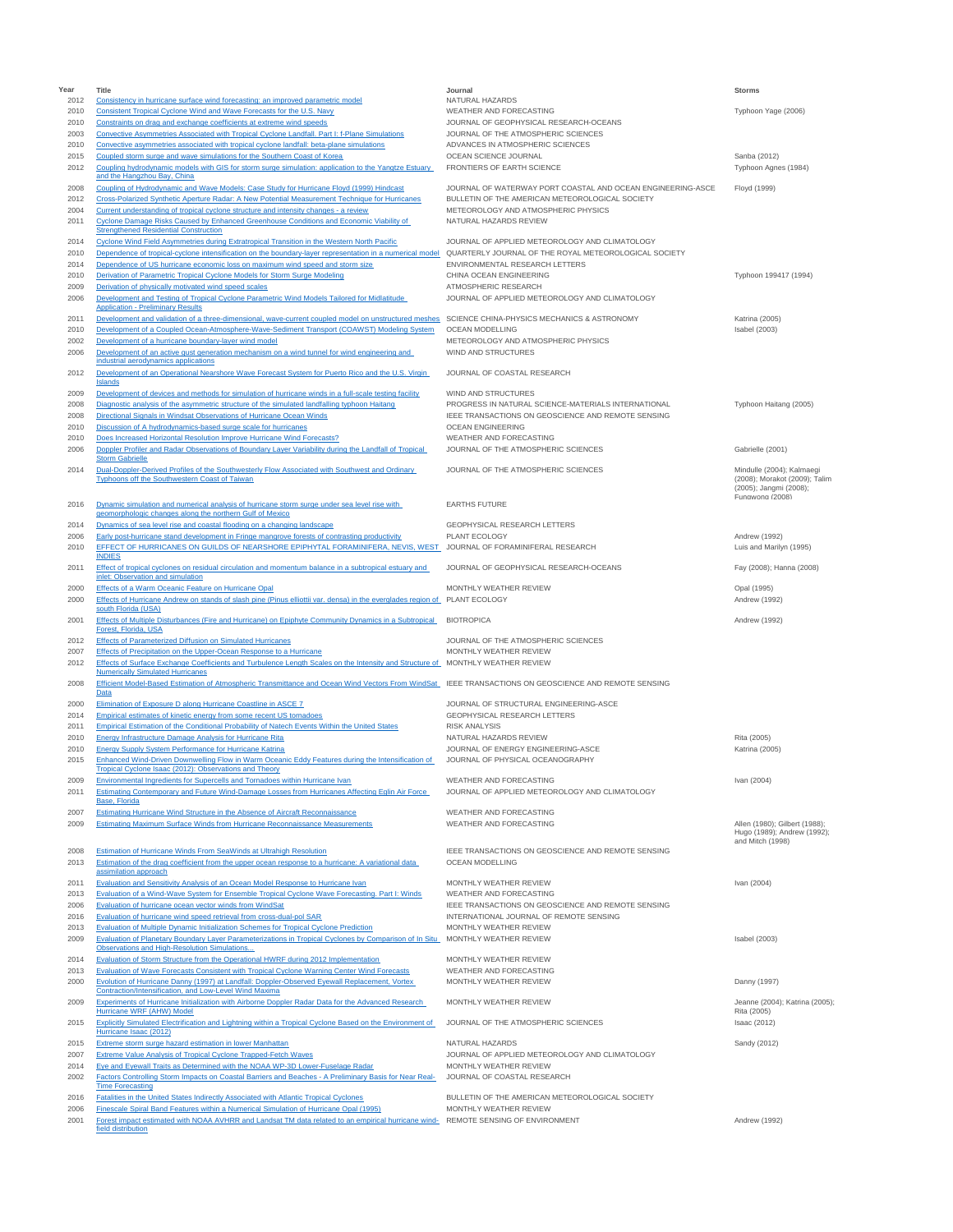| Year         | Title                                                                                                                                                                                        | Journal                                                                       | <b>Storms</b>                                              |
|--------------|----------------------------------------------------------------------------------------------------------------------------------------------------------------------------------------------|-------------------------------------------------------------------------------|------------------------------------------------------------|
| 2012         | Consistency in hurricane surface wind forecasting: an improved parametric model                                                                                                              | NATURAL HAZARDS                                                               |                                                            |
| 2010         | Consistent Tropical Cyclone Wind and Wave Forecasts for the U.S. Navy                                                                                                                        | WEATHER AND FORECASTING                                                       | Typhoon Yage (2006)                                        |
| 2010         | Constraints on drag and exchange coefficients at extreme wind speeds                                                                                                                         | JOURNAL OF GEOPHYSICAL RESEARCH-OCEANS<br>JOURNAL OF THE ATMOSPHERIC SCIENCES |                                                            |
| 2003<br>2010 | Convective Asymmetries Associated with Tropical Cyclone Landfall. Part I: f-Plane Simulations<br>Convective asymmetries associated with tropical cyclone landfall: beta-plane simulations    | ADVANCES IN ATMOSPHERIC SCIENCES                                              |                                                            |
| 2015         | Coupled storm surge and wave simulations for the Southern Coast of Korea                                                                                                                     | OCEAN SCIENCE JOURNAL                                                         | Sanba (2012)                                               |
| 2012         | Coupling hydrodynamic models with GIS for storm surge simulation: application to the Yangtze Estuary                                                                                         | FRONTIERS OF EARTH SCIENCE                                                    | Typhoon Agnes (1984)                                       |
|              | and the Hangzhou Bay, China                                                                                                                                                                  |                                                                               |                                                            |
| 2008         | Coupling of Hydrodynamic and Wave Models: Case Study for Hurricane Floyd (1999) Hindcast                                                                                                     | JOURNAL OF WATERWAY PORT COASTAL AND OCEAN ENGINEERING-ASCE                   | Floyd (1999)                                               |
| 2012         | Cross-Polarized Synthetic Aperture Radar: A New Potential Measurement Technique for Hurricanes                                                                                               | BULLETIN OF THE AMERICAN METEOROLOGICAL SOCIETY                               |                                                            |
| 2004         | Current understanding of tropical cyclone structure and intensity changes - a review                                                                                                         | METEOROLOGY AND ATMOSPHERIC PHYSICS                                           |                                                            |
| 2011         | Cyclone Damage Risks Caused by Enhanced Greenhouse Conditions and Economic Viability of                                                                                                      | NATURAL HAZARDS REVIEW                                                        |                                                            |
| 2014         | <b>Strengthened Residential Construction</b><br>Cyclone Wind Field Asymmetries during Extratropical Transition in the Western North Pacific                                                  | JOURNAL OF APPLIED METEOROLOGY AND CLIMATOLOGY                                |                                                            |
| 2010         | Dependence of tropical-cyclone intensification on the boundary-layer representation in a numerical model                                                                                     | QUARTERLY JOURNAL OF THE ROYAL METEOROLOGICAL SOCIETY                         |                                                            |
| 2014         | Dependence of US hurricane economic loss on maximum wind speed and storm size                                                                                                                | ENVIRONMENTAL RESEARCH LETTERS                                                |                                                            |
| 2010         | Derivation of Parametric Tropical Cyclone Models for Storm Surge Modeling                                                                                                                    | CHINA OCEAN ENGINEERING                                                       | Typhoon 199417 (1994)                                      |
| 2009         | Derivation of physically motivated wind speed scales                                                                                                                                         | ATMOSPHERIC RESEARCH                                                          |                                                            |
| 2006         | Development and Testing of Tropical Cyclone Parametric Wind Models Tailored for Midlatitude                                                                                                  | JOURNAL OF APPLIED METEOROLOGY AND CLIMATOLOGY                                |                                                            |
|              | <b>Application - Preliminary Results</b>                                                                                                                                                     |                                                                               |                                                            |
| 2011         | Development and validation of a three-dimensional, wave-current coupled model on unstructured meshes                                                                                         | SCIENCE CHINA-PHYSICS MECHANICS & ASTRONOMY                                   | Katrina (2005)                                             |
| 2010         | Development of a Coupled Ocean-Atmosphere-Wave-Sediment Transport (COAWST) Modeling System                                                                                                   | OCEAN MODELLING                                                               | Isabel (2003)                                              |
| 2002         | Development of a hurricane boundary-layer wind model                                                                                                                                         | METEOROLOGY AND ATMOSPHERIC PHYSICS                                           |                                                            |
| 2006         | Development of an active gust generation mechanism on a wind tunnel for wind engineering and<br>industrial aerodynamics applications                                                         | WIND AND STRUCTURES                                                           |                                                            |
| 2012         | Development of an Operational Nearshore Wave Forecast System for Puerto Rico and the U.S. Virgin                                                                                             | JOURNAL OF COASTAL RESEARCH                                                   |                                                            |
|              | Islands                                                                                                                                                                                      |                                                                               |                                                            |
| 2009         | Development of devices and methods for simulation of hurricane winds in a full-scale testing facility                                                                                        | WIND AND STRUCTURES                                                           |                                                            |
| 2008         | Diagnostic analysis of the asymmetric structure of the simulated landfalling typhoon Haitang                                                                                                 | PROGRESS IN NATURAL SCIENCE-MATERIALS INTERNATIONAL                           | Typhoon Haitang (2005)                                     |
| 2008         | Directional Signals in Windsat Observations of Hurricane Ocean Winds                                                                                                                         | IEEE TRANSACTIONS ON GEOSCIENCE AND REMOTE SENSING                            |                                                            |
| 2010         | Discussion of A hydrodynamics-based surge scale for hurricanes                                                                                                                               | <b>OCEAN ENGINEERING</b>                                                      |                                                            |
| 2010         | Does Increased Horizontal Resolution Improve Hurricane Wind Forecasts?                                                                                                                       | WEATHER AND FORECASTING                                                       |                                                            |
| 2006         | Doppler Profiler and Radar Observations of Boundary Layer Variability during the Landfall of Tropical                                                                                        | JOURNAL OF THE ATMOSPHERIC SCIENCES                                           | Gabrielle (2001)                                           |
|              | <b>Storm Gabrielle</b>                                                                                                                                                                       |                                                                               |                                                            |
| 2014         | Dual-Doppler-Derived Profiles of the Southwesterly Flow Associated with Southwest and Ordinary<br>Typhoons off the Southwestern Coast of Taiwan                                              | JOURNAL OF THE ATMOSPHERIC SCIENCES                                           | Mindulle (2004); Kalmaegi<br>(2008); Morakot (2009); Talim |
|              |                                                                                                                                                                                              |                                                                               | (2005); Jangmi (2008);                                     |
| 2016         | Dynamic simulation and numerical analysis of hurricane storm surge under sea level rise with                                                                                                 | <b>EARTHS FUTURE</b>                                                          | Fungwong (2008)                                            |
|              | geomorphologic changes along the northern Gulf of Mexico                                                                                                                                     |                                                                               |                                                            |
| 2014         | Dynamics of sea level rise and coastal flooding on a changing landscape                                                                                                                      | GEOPHYSICAL RESEARCH LETTERS                                                  |                                                            |
| 2006         | Early post-hurricane stand development in Fringe mangrove forests of contrasting productivity                                                                                                | PLANT ECOLOGY                                                                 | Andrew (1992)                                              |
| 2010         | EFFECT OF HURRICANES ON GUILDS OF NEARSHORE EPIPHYTAL FORAMINIFERA, NEVIS, WEST                                                                                                              | JOURNAL OF FORAMINIFERAL RESEARCH                                             | Luis and Marilyn (1995)                                    |
|              | <b>INDIES</b>                                                                                                                                                                                |                                                                               |                                                            |
| 2011         | Effect of tropical cyclones on residual circulation and momentum balance in a subtropical estuary and                                                                                        | JOURNAL OF GEOPHYSICAL RESEARCH-OCEANS                                        | Fay (2008); Hanna (2008)                                   |
|              | inlet: Observation and simulation                                                                                                                                                            |                                                                               |                                                            |
| 2000         | Effects of a Warm Oceanic Feature on Hurricane Opal                                                                                                                                          | MONTHLY WEATHER REVIEW                                                        | Opal (1995)                                                |
| 2000         | Effects of Hurricane Andrew on stands of slash pine (Pinus elliottii var. densa) in the everglades region of PLANT ECOLOGY<br>south Florida (USA)                                            |                                                                               | Andrew (1992)                                              |
| 2001         | Effects of Multiple Disturbances (Fire and Hurricane) on Epiphyte Community Dynamics in a Subtropical                                                                                        | <b>BIOTROPICA</b>                                                             | Andrew (1992)                                              |
|              | Forest, Florida, USA                                                                                                                                                                         |                                                                               |                                                            |
| 2012         | <b>Effects of Parameterized Diffusion on Simulated Hurricanes</b>                                                                                                                            | JOURNAL OF THE ATMOSPHERIC SCIENCES                                           |                                                            |
| 2007         | Effects of Precipitation on the Upper-Ocean Response to a Hurricane                                                                                                                          | MONTHLY WEATHER REVIEW                                                        |                                                            |
| 2012         | Effects of Surface Exchange Coefficients and Turbulence Length Scales on the Intensity and Structure of MONTHLY WEATHER REVIEW                                                               |                                                                               |                                                            |
|              | <b>Numerically Simulated Hurricanes</b>                                                                                                                                                      |                                                                               |                                                            |
| 2008         | Efficient Model-Based Estimation of Atmospheric Transmittance and Ocean Wind Vectors From WindSat<br>Data                                                                                    | IEEE TRANSACTIONS ON GEOSCIENCE AND REMOTE SENSING                            |                                                            |
| 2000         | Elimination of Exposure D along Hurricane Coastline in ASCE 7                                                                                                                                | JOURNAL OF STRUCTURAL ENGINEERING-ASCE                                        |                                                            |
| 2014         | Empirical estimates of kinetic energy from some recent US tornadoes                                                                                                                          | <b>GEOPHYSICAL RESEARCH LETTERS</b>                                           |                                                            |
| 2011         | Empirical Estimation of the Conditional Probability of Natech Events Within the United States                                                                                                | <b>RISK ANALYSIS</b>                                                          |                                                            |
| 2010         | Energy Infrastructure Damage Analysis for Hurricane Rita                                                                                                                                     | NATURAL HAZARDS REVIEW                                                        | Rita (2005)                                                |
| 2010         | <b>Energy Supply System Performance for Hurricane Katrina</b>                                                                                                                                | JOURNAL OF ENERGY ENGINEERING-ASCE                                            | Katrina (2005)                                             |
| 2015         | Enhanced Wind-Driven Downwelling Flow in Warm Oceanic Eddy Features during the Intensification of                                                                                            | JOURNAL OF PHYSICAL OCEANOGRAPHY                                              |                                                            |
|              | Tropical Cyclone Isaac (2012): Observations and Theory                                                                                                                                       |                                                                               |                                                            |
| 2009         | Environmental Ingredients for Supercells and Tomadoes within Hurricane Ivan                                                                                                                  | WEATHER AND FORECASTING                                                       | Ivan (2004)                                                |
| 2011         | Estimating Contemporary and Future Wind-Damage Losses from Hurricanes Affecting Eglin Air Force                                                                                              | JOURNAL OF APPLIED METEOROLOGY AND CLIMATOLOGY                                |                                                            |
|              | Base, Florida                                                                                                                                                                                | WEATHER AND FORECASTING                                                       |                                                            |
| 2007<br>2009 | Estimating Hurricane Wind Structure in the Absence of Aircraft Reconnaissance<br>Estimating Maximum Surface Winds from Hurricane Reconnaissance Measurements                                 | WEATHER AND FORECASTING                                                       | Allen (1980); Gilbert (1988);                              |
|              |                                                                                                                                                                                              |                                                                               | Hugo (1989); Andrew (1992);                                |
|              |                                                                                                                                                                                              |                                                                               | and Mitch (1998)                                           |
| 2008         | Estimation of Hurricane Winds From SeaWinds at Ultrahigh Resolution                                                                                                                          | IEEE TRANSACTIONS ON GEOSCIENCE AND REMOTE SENSING                            |                                                            |
| 2013         | Estimation of the drag coefficient from the upper ocean response to a hurricane: A variational data<br>assimilation approach                                                                 | <b>OCEAN MODELLING</b>                                                        |                                                            |
| 2011         | Evaluation and Sensitivity Analysis of an Ocean Model Response to Hurricane Ivan                                                                                                             | MONTHLY WEATHER REVIEW                                                        | Ivan (2004)                                                |
| 2013         | Evaluation of a Wind-Wave System for Ensemble Tropical Cyclone Wave Forecasting. Part I: Winds                                                                                               | WEATHER AND FORECASTING                                                       |                                                            |
| 2006         | Evaluation of hurricane ocean vector winds from WindSat                                                                                                                                      | IEEE TRANSACTIONS ON GEOSCIENCE AND REMOTE SENSING                            |                                                            |
| 2016         | Evaluation of hurricane wind speed retrieval from cross-dual-pol SAR                                                                                                                         | INTERNATIONAL JOURNAL OF REMOTE SENSING                                       |                                                            |
| 2013         | Evaluation of Multiple Dynamic Initialization Schemes for Tropical Cyclone Prediction                                                                                                        | MONTHLY WEATHER REVIEW                                                        |                                                            |
| 2009         | Evaluation of Planetary Boundary Layer Parameterizations in Tropical Cyclones by Comparison of In Situ MONTHLY WEATHER REVIEW                                                                |                                                                               | Isabel (2003)                                              |
|              | Observations and High-Resolution Simulations                                                                                                                                                 |                                                                               |                                                            |
| 2014         | Evaluation of Storm Structure from the Operational HWRF during 2012 Implementation                                                                                                           | MONTHLY WEATHER REVIEW                                                        |                                                            |
| 2013         | Evaluation of Wave Forecasts Consistent with Tropical Cyclone Warning Center Wind Forecasts                                                                                                  | WEATHER AND FORECASTING                                                       |                                                            |
| 2000         | Evolution of Hurricane Danny (1997) at Landfall: Doppler-Observed Eyewall Replacement, Vortex                                                                                                | MONTHLY WEATHER REVIEW                                                        | Danny (1997)                                               |
|              | Contraction/Intensification, and Low-Level Wind Maxima<br>Experiments of Hurricane Initialization with Airborne Doppler Radar Data for the Advanced Research                                 | MONTHLY WEATHER REVIEW                                                        |                                                            |
| 2009         | Hurricane WRF (AHW) Model                                                                                                                                                                    |                                                                               | Jeanne (2004); Katrina (2005);<br>Rita (2005)              |
| 2015         | Explicitly Simulated Electrification and Lightning within a Tropical Cyclone Based on the Environment of                                                                                     | JOURNAL OF THE ATMOSPHERIC SCIENCES                                           | Isaac (2012)                                               |
|              | Hurricane Isaac (2012)                                                                                                                                                                       |                                                                               |                                                            |
| 2015         |                                                                                                                                                                                              | NATURAL HAZARDS                                                               | Sandy (2012)                                               |
|              | Extreme storm surge hazard estimation in lower Manhattan                                                                                                                                     |                                                                               |                                                            |
| 2007         | <b>Extreme Value Analysis of Tropical Cyclone Trapped-Fetch Waves</b>                                                                                                                        | JOURNAL OF APPLIED METEOROLOGY AND CLIMATOLOGY                                |                                                            |
| 2014         | Eye and Eyewall Traits as Determined with the NOAA WP-3D Lower-Fuselage Radar                                                                                                                | MONTHLY WEATHER REVIEW                                                        |                                                            |
| 2002         | Factors Controlling Storm Impacts on Coastal Barriers and Beaches - A Preliminary Basis for Near Real-                                                                                       | JOURNAL OF COASTAL RESEARCH                                                   |                                                            |
|              | <b>Time Forecasting</b>                                                                                                                                                                      |                                                                               |                                                            |
| 2016         | Fatalities in the United States Indirectly Associated with Atlantic Tropical Cyclones                                                                                                        | BULLETIN OF THE AMERICAN METEOROLOGICAL SOCIETY                               |                                                            |
| 2006<br>2001 | Finescale Spiral Band Features within a Numerical Simulation of Hurricane Opal (1995)<br>Forest impact estimated with NOAA AVHRR and Landsat TM data related to an empirical hurricane wind- | MONTHLY WEATHER REVIEW<br>REMOTE SENSING OF ENVIRONMENT                       | Andrew (1992)                                              |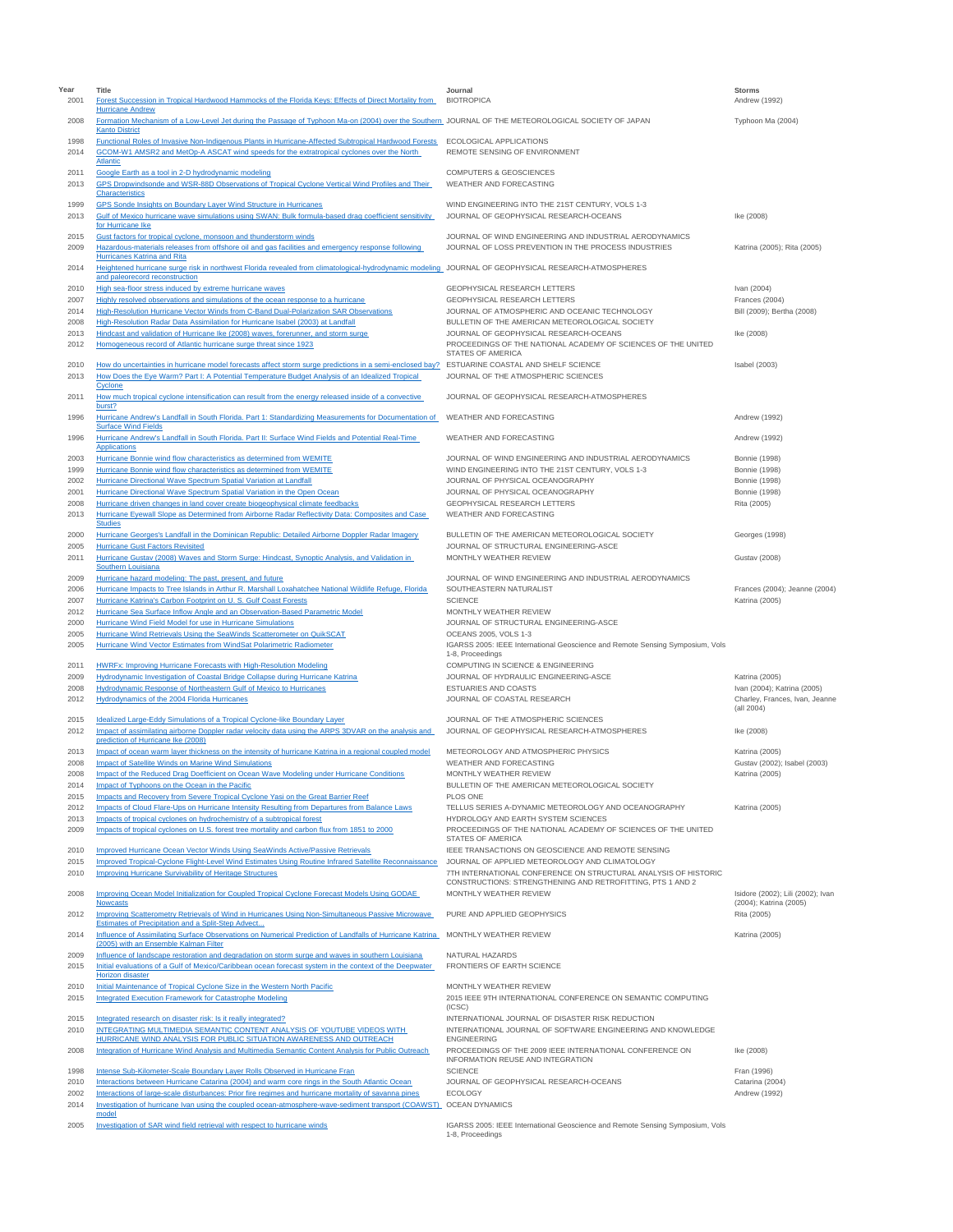| Year<br>2001 | Title<br>Forest Succession in Tropical Hardwood Hammocks of the Florida Keys: Effects of Direct Mortality from                                                                                                                                  | Journal<br><b>BIOTROPICA</b>                                                                                                                            | <b>Storms</b><br>Andrew (1992)                  |
|--------------|-------------------------------------------------------------------------------------------------------------------------------------------------------------------------------------------------------------------------------------------------|---------------------------------------------------------------------------------------------------------------------------------------------------------|-------------------------------------------------|
| 2008         | <b>Hurricane Andrew</b><br>Formation Mechanism of a Low-Level Jet during the Passage of Typhoon Ma-on (2004) over the Southern_JOURNAL OF THE METEOROLOGICAL SOCIETY OF JAPAN<br><b>Kanto District</b>                                          |                                                                                                                                                         | Typhoon Ma (2004)                               |
| 1998<br>2014 | Functional Roles of Invasive Non-Indigenous Plants in Hurricane-Affected Subtropical Hardwood Forests<br>GCOM-W1 AMSR2 and MetOp-A ASCAT wind speeds for the extratropical cyclones over the North                                              | ECOLOGICAL APPLICATIONS<br>REMOTE SENSING OF ENVIRONMENT                                                                                                |                                                 |
| 2011         | Atlantic<br>Google Earth as a tool in 2-D hydrodynamic modeling                                                                                                                                                                                 | <b>COMPUTERS &amp; GEOSCIENCES</b>                                                                                                                      |                                                 |
| 2013         | GPS Dropwindsonde and WSR-88D Observations of Tropical Cyclone Vertical Wind Profiles and Their<br>Characteristics                                                                                                                              | WEATHER AND FORECASTING                                                                                                                                 |                                                 |
| 1999<br>2013 | <b>GPS Sonde Insights on Boundary Layer Wind Structure in Hurricanes</b><br>Gulf of Mexico hurricane wave simulations using SWAN: Bulk formula-based drag coefficient sensitivity<br>for Hurricane Ike                                          | WIND ENGINEERING INTO THE 21ST CENTURY, VOLS 1-3<br>JOURNAL OF GEOPHYSICAL RESEARCH-OCEANS                                                              | Ike (2008)                                      |
| 2015<br>2009 | Gust factors for tropical cyclone, monsoon and thunderstorm winds<br>Hazardous-materials releases from offshore oil and gas facilities and emergency response following<br>Hurricanes Katrina and Rita                                          | JOURNAL OF WIND ENGINEERING AND INDUSTRIAL AERODYNAMICS<br>JOURNAL OF LOSS PREVENTION IN THE PROCESS INDUSTRIES                                         | Katrina (2005); Rita (2005)                     |
| 2014         | Heightened hurricane surge risk in northwest Florida revealed from climatological-hydrodynamic modeling JOURNAL OF GEOPHYSICAL RESEARCH-ATMOSPHERES<br>and paleorecord reconstruction                                                           |                                                                                                                                                         |                                                 |
| 2010<br>2007 | High sea-floor stress induced by extreme hurricane waves<br>Highly resolved observations and simulations of the ocean response to a hurricane                                                                                                   | GEOPHYSICAL RESEARCH LETTERS<br>GEOPHYSICAL RESEARCH LETTERS                                                                                            | Ivan (2004)<br>Frances (2004)                   |
| 2014         | High-Resolution Hurricane Vector Winds from C-Band Dual-Polarization SAR Observations                                                                                                                                                           | JOURNAL OF ATMOSPHERIC AND OCEANIC TECHNOLOGY                                                                                                           | Bill (2009); Bertha (2008)                      |
| 2008<br>2013 | High-Resolution Radar Data Assimilation for Hurricane Isabel (2003) at Landfall<br>Hindcast and validation of Hurricane Ike (2008) waves, forerunner, and storm surge                                                                           | BULLETIN OF THE AMERICAN METEOROLOGICAL SOCIETY<br>JOURNAL OF GEOPHYSICAL RESEARCH-OCEANS                                                               | Ike (2008)                                      |
| 2012         | Homogeneous record of Atlantic hurricane surge threat since 1923                                                                                                                                                                                | PROCEEDINGS OF THE NATIONAL ACADEMY OF SCIENCES OF THE UNITED<br>STATES OF AMERICA                                                                      |                                                 |
| 2010<br>2013 | How do uncertainties in hurricane model forecasts affect storm surge predictions in a semi-enclosed bay? ESTUARINE COASTAL AND SHELF SCIENCE<br>How Does the Eye Warm? Part I: A Potential Temperature Budget Analysis of an Idealized Tropical | JOURNAL OF THE ATMOSPHERIC SCIENCES                                                                                                                     | Isabel (2003)                                   |
| 2011         | Cyclone<br>How much tropical cyclone intensification can result from the energy released inside of a convective<br>burst?                                                                                                                       | JOURNAL OF GEOPHYSICAL RESEARCH-ATMOSPHERES                                                                                                             |                                                 |
| 1996         | Hurricane Andrew's Landfall in South Florida. Part 1: Standardizing Measurements for Documentation of<br><b>Surface Wind Fields</b>                                                                                                             | WEATHER AND FORECASTING                                                                                                                                 | Andrew (1992)                                   |
| 1996         | Hurricane Andrew's Landfall in South Florida. Part II: Surface Wind Fields and Potential Real-Time<br>Applications                                                                                                                              | WEATHER AND FORECASTING                                                                                                                                 | Andrew (1992)                                   |
| 2003         | Hurricane Bonnie wind flow characteristics as determined from WEMITE                                                                                                                                                                            | JOURNAL OF WIND ENGINEERING AND INDUSTRIAL AERODYNAMICS                                                                                                 | <b>Bonnie</b> (1998)                            |
| 1999         | Hurricane Bonnie wind flow characteristics as determined from WEMITE                                                                                                                                                                            | WIND ENGINEERING INTO THE 21ST CENTURY, VOLS 1-3                                                                                                        | <b>Bonnie</b> (1998)                            |
| 2002<br>2001 | Hurricane Directional Wave Spectrum Spatial Variation at Landfall<br>Hurricane Directional Wave Spectrum Spatial Variation in the Open Ocean                                                                                                    | JOURNAL OF PHYSICAL OCEANOGRAPHY<br>JOURNAL OF PHYSICAL OCEANOGRAPHY                                                                                    | <b>Bonnie</b> (1998)<br><b>Bonnie</b> (1998)    |
| 2008         | Hurricane driven changes in land cover create biogeophysical climate feedbacks                                                                                                                                                                  | GEOPHYSICAL RESEARCH LETTERS                                                                                                                            | Rita (2005)                                     |
| 2013         | Hurricane Eyewall Slope as Determined from Airborne Radar Reflectivity Data: Composites and Case<br><b>Studies</b>                                                                                                                              | WEATHER AND FORECASTING                                                                                                                                 |                                                 |
| 2000<br>2005 | Hurricane Georges's Landfall in the Dominican Republic: Detailed Airborne Doppler Radar Imagery<br><b>Hurricane Gust Factors Revisited</b>                                                                                                      | BULLETIN OF THE AMERICAN METEOROLOGICAL SOCIETY<br>JOURNAL OF STRUCTURAL ENGINEERING-ASCE                                                               | Georges (1998)                                  |
| 2011         | Hurricane Gustav (2008) Waves and Storm Surge: Hindcast, Synoptic Analysis, and Validation in<br><b>Southern Louisiana</b>                                                                                                                      | MONTHLY WEATHER REVIEW                                                                                                                                  | <b>Gustav (2008)</b>                            |
| 2009         | Hurricane hazard modeling: The past, present, and future                                                                                                                                                                                        | JOURNAL OF WIND ENGINEERING AND INDUSTRIAL AERODYNAMICS                                                                                                 |                                                 |
| 2006<br>2007 | Hurricane Impacts to Tree Islands in Arthur R. Marshall Loxahatchee National Wildlife Refuge, Florida<br>Hurricane Katrina's Carbon Footprint on U.S. Gulf Coast Forests                                                                        | SOUTHEASTERN NATURALIST<br><b>SCIENCE</b>                                                                                                               | Frances (2004); Jeanne (2004)<br>Katrina (2005) |
| 2012         | Hurricane Sea Surface Inflow Angle and an Observation-Based Parametric Model                                                                                                                                                                    | MONTHLY WEATHER REVIEW                                                                                                                                  |                                                 |
| 2000         | Hurricane Wind Field Model for use in Hurricane Simulations                                                                                                                                                                                     | JOURNAL OF STRUCTURAL ENGINEERING-ASCE                                                                                                                  |                                                 |
| 2005<br>2005 | Hurricane Wind Retrievals Using the SeaWinds Scatterometer on QuikSCAT<br>Hurricane Wind Vector Estimates from WindSat Polarimetric Radiometer                                                                                                  | OCEANS 2005, VOLS 1-3<br>IGARSS 2005: IEEE International Geoscience and Remote Sensing Symposium, Vols<br>1-8, Proceedings                              |                                                 |
| 2011         | <b>HWRFx: Improving Hurricane Forecasts with High-Resolution Modeling</b>                                                                                                                                                                       | COMPUTING IN SCIENCE & ENGINEERING                                                                                                                      |                                                 |
| 2009         | Hydrodynamic Investigation of Coastal Bridge Collapse during Hurricane Katrina                                                                                                                                                                  | JOURNAL OF HYDRAULIC ENGINEERING-ASCE                                                                                                                   | Katrina (2005)                                  |
| 2008         | Hydrodynamic Response of Northeastern Gulf of Mexico to Hurricanes<br>Hydrodynamics of the 2004 Florida Hurricanes                                                                                                                              | ESTUARIES AND COASTS                                                                                                                                    | Ivan (2004); Katrina (2005)                     |
| 2012<br>2015 | Idealized Large-Eddy Simulations of a Tropical Cyclone-like Boundary Layer                                                                                                                                                                      | JOURNAL OF COASTAL RESEARCH<br>JOURNAL OF THE ATMOSPHERIC SCIENCES                                                                                      | Charley, Frances, Ivan, Jeanne<br>(all 2004)    |
| 2012         | Impact of assimilating airborne Doppler radar velocity data using the ARPS 3DVAR on the analysis and<br>prediction of Hurricane Ike (2008)                                                                                                      | JOURNAL OF GEOPHYSICAL RESEARCH-ATMOSPHERES                                                                                                             | Ike (2008)                                      |
| 2013         | Impact of ocean warm layer thickness on the intensity of hurricane Katrina in a regional coupled model                                                                                                                                          | METEOROLOGY AND ATMOSPHERIC PHYSICS                                                                                                                     | Katrina (2005)                                  |
| 2008         | Impact of Satellite Winds on Marine Wind Simulations                                                                                                                                                                                            | WEATHER AND FORECASTING                                                                                                                                 | Gustav (2002); Isabel (2003)                    |
| 2008<br>2014 | Impact of the Reduced Drag Doefficient on Ocean Wave Modeling under Hurricane Conditions<br>Impact of Typhoons on the Ocean in the Pacific                                                                                                      | MONTHLY WEATHER REVIEW<br>BULLETIN OF THE AMERICAN METEOROLOGICAL SOCIETY                                                                               | Katrina (2005)                                  |
| 2015         | Impacts and Recovery from Severe Tropical Cyclone Yasi on the Great Barrier Reef                                                                                                                                                                | PLOS ONE                                                                                                                                                |                                                 |
| 2012         | Impacts of Cloud Flare-Ups on Hurricane Intensity Resulting from Departures from Balance Laws                                                                                                                                                   | TELLUS SERIES A-DYNAMIC METEOROLOGY AND OCEANOGRAPHY                                                                                                    | Katrina (2005)                                  |
| 2013<br>2009 | Impacts of tropical cyclones on hydrochemistry of a subtropical forest<br>Impacts of tropical cyclones on U.S. forest tree mortality and carbon flux from 1851 to 2000                                                                          | HYDROLOGY AND EARTH SYSTEM SCIENCES<br>PROCEEDINGS OF THE NATIONAL ACADEMY OF SCIENCES OF THE UNITED<br><b>STATES OF AMERICA</b>                        |                                                 |
| 2010         | <b>Improved Hurricane Ocean Vector Winds Using SeaWinds Active/Passive Retrievals</b>                                                                                                                                                           | IEEE TRANSACTIONS ON GEOSCIENCE AND REMOTE SENSING                                                                                                      |                                                 |
| 2015         | Improved Tropical-Cyclone Flight-Level Wind Estimates Using Routine Infrared Satellite Reconnaissance                                                                                                                                           | JOURNAL OF APPLIED METEOROLOGY AND CLIMATOLOGY                                                                                                          |                                                 |
| 2010<br>2008 | Improving Hurricane Survivability of Heritage Structures<br>Improving Ocean Model Initialization for Coupled Tropical Cyclone Forecast Models Using GODAE                                                                                       | 7TH INTERNATIONAL CONFERENCE ON STRUCTURAL ANALYSIS OF HISTORIC<br>CONSTRUCTIONS: STRENGTHENING AND RETROFITTING, PTS 1 AND 2<br>MONTHLY WEATHER REVIEW | Isidore (2002); Lili (2002); Ivan               |
| 2012         | <b>Nowcasts</b><br>Improving Scatterometry Retrievals of Wind in Hurricanes Using Non-Simultaneous Passive Microwave<br>Estimates of Precipitation and a Split-Step Advect                                                                      | PURE AND APPLIED GEOPHYSICS                                                                                                                             | (2004); Katrina (2005)<br>Rita (2005)           |
| 2014         | Influence of Assimilating Surface Observations on Numerical Prediction of Landfalls of Hurricane Katrina MONTHLY WEATHER REVIEW<br>(2005) with an Ensemble Kalman Filter                                                                        |                                                                                                                                                         | Katrina (2005)                                  |
| 2009<br>2015 | Influence of landscape restoration and degradation on storm surge and waves in southern Louisiana<br>Initial evaluations of a Gulf of Mexico/Caribbean ocean forecast system in the context of the Deepwater                                    | NATURAL HAZARDS<br>FRONTIERS OF EARTH SCIENCE                                                                                                           |                                                 |
| 2010         | Horizon disaster<br>Initial Maintenance of Tropical Cyclone Size in the Western North Pacific                                                                                                                                                   | MONTHLY WEATHER REVIEW                                                                                                                                  |                                                 |
| 2015         | <b>Integrated Execution Framework for Catastrophe Modeling</b>                                                                                                                                                                                  | 2015 IEEE 9TH INTERNATIONAL CONFERENCE ON SEMANTIC COMPUTING<br>(ICSC)                                                                                  |                                                 |
| 2015<br>2010 | Integrated research on disaster risk: Is it really integrated?<br>INTEGRATING MULTIMEDIA SEMANTIC CONTENT ANALYSIS OF YOUTUBE VIDEOS WITH                                                                                                       | INTERNATIONAL JOURNAL OF DISASTER RISK REDUCTION<br>INTERNATIONAL JOURNAL OF SOFTWARE ENGINEERING AND KNOWLEDGE                                         |                                                 |
| 2008         | HURRICANE WIND ANALYSIS FOR PUBLIC SITUATION AWARENESS AND OUTREACH<br>Integration of Hurricane Wind Analysis and Multimedia Semantic Content Analysis for Public Outreach                                                                      | <b>ENGINEERING</b><br>PROCEEDINGS OF THE 2009 IEEE INTERNATIONAL CONFERENCE ON                                                                          | Ike (2008)                                      |
| 1998         | Intense Sub-Kilometer-Scale Boundary Layer Rolls Observed in Hurricane Fran                                                                                                                                                                     | INFORMATION REUSE AND INTEGRATION<br><b>SCIENCE</b>                                                                                                     | Fran (1996)                                     |
| 2010         | Interactions between Hurricane Catarina (2004) and warm core rings in the South Atlantic Ocean                                                                                                                                                  | JOURNAL OF GEOPHYSICAL RESEARCH-OCEANS                                                                                                                  | Catarina (2004)                                 |
| 2002         | Interactions of large-scale disturbances: Prior fire regimes and hurricane mortality of savanna pines                                                                                                                                           | <b>ECOLOGY</b>                                                                                                                                          | Andrew (1992)                                   |
| 2014         | Investigation of hurricane Ivan using the coupled ocean-atmosphere-wave-sediment transport (COAWST)_ OCEAN DYNAMICS<br>model                                                                                                                    |                                                                                                                                                         |                                                 |
| 2005         | Investigation of SAR wind field retrieval with respect to hurricane winds                                                                                                                                                                       | IGARSS 2005: IEEE International Geoscience and Remote Sensing Symposium, Vols<br>1-8, Proceedings                                                       |                                                 |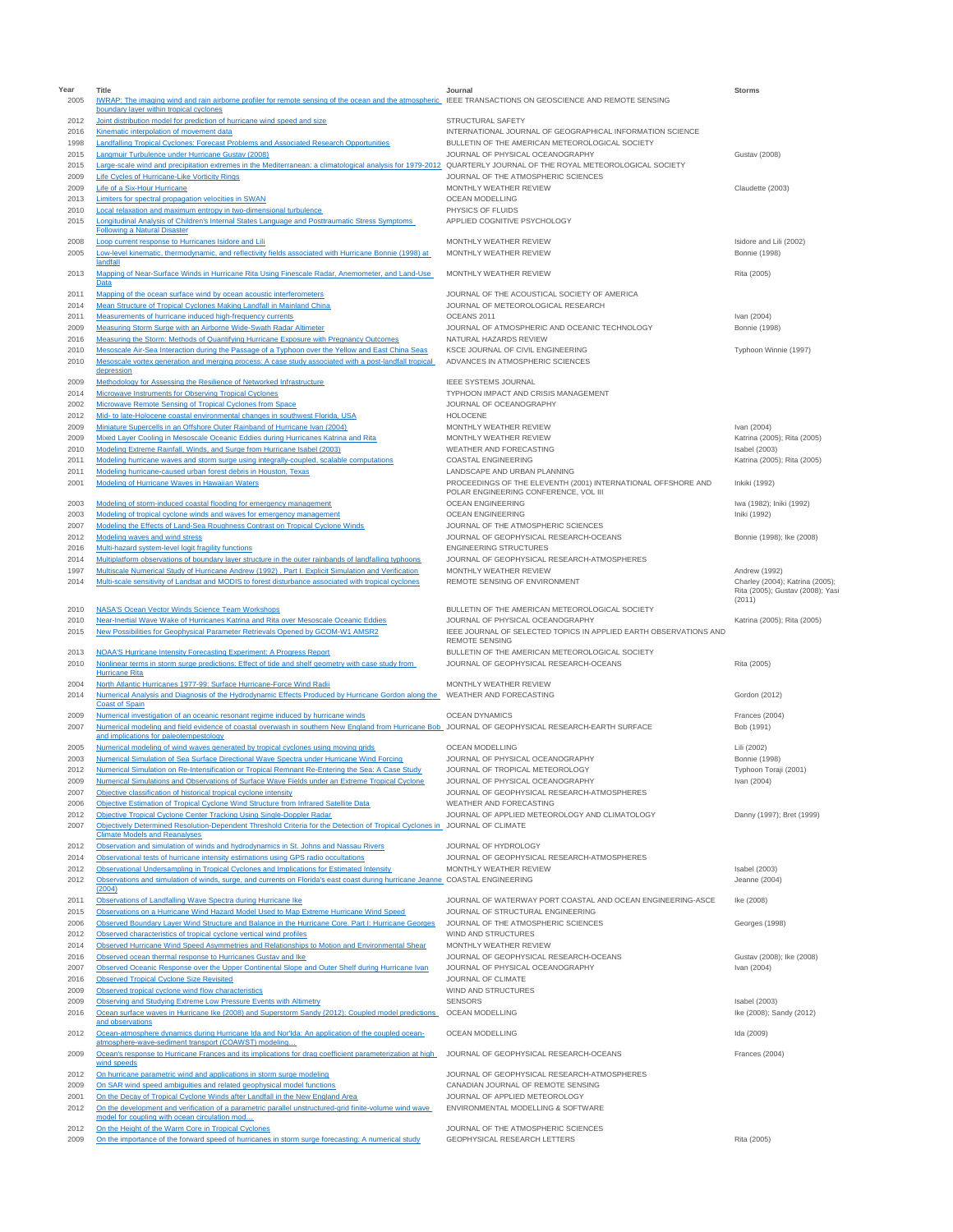| Year<br>2005 | Title<br>IWRAP: The imaging wind and rain airborne profiler for remote sensing of the ocean and the atmospheric IEEE TRANSACTIONS ON GEOSCIENCE AND REMOTE SENSING                            | Journal                                                                                          | Storms                                                              |
|--------------|-----------------------------------------------------------------------------------------------------------------------------------------------------------------------------------------------|--------------------------------------------------------------------------------------------------|---------------------------------------------------------------------|
|              | boundary layer within tropical cyclones                                                                                                                                                       |                                                                                                  |                                                                     |
| 2012         | Joint distribution model for prediction of hurricane wind speed and size                                                                                                                      | STRUCTURAL SAFETY                                                                                |                                                                     |
| 2016         | Kinematic interpolation of movement data                                                                                                                                                      | INTERNATIONAL JOURNAL OF GEOGRAPHICAL INFORMATION SCIENCE                                        |                                                                     |
| 1998<br>2015 | Landfalling Tropical Cyclones: Forecast Problems and Associated Research Opportunities<br>Langmuir Turbulence under Hurricane Gustav (2008)                                                   | BULLETIN OF THE AMERICAN METEOROLOGICAL SOCIETY<br>JOURNAL OF PHYSICAL OCEANOGRAPHY              | <b>Gustav (2008)</b>                                                |
| 2015         | Large-scale wind and precipitation extremes in the Mediterranean: a climatological analysis for 1979-2012 QUARTERLY JOURNAL OF THE ROYAL METEOROLOGICAL SOCIETY                               |                                                                                                  |                                                                     |
| 2009         | Life Cycles of Hurricane-Like Vorticity Rings                                                                                                                                                 | JOURNAL OF THE ATMOSPHERIC SCIENCES                                                              |                                                                     |
| 2009         | Life of a Six-Hour Hurricane                                                                                                                                                                  | MONTHLY WEATHER REVIEW                                                                           | Claudette (2003)                                                    |
| 2013         | Limiters for spectral propagation velocities in SWAN                                                                                                                                          | OCEAN MODELLING                                                                                  |                                                                     |
| 2010         | Local relaxation and maximum entropy in two-dimensional turbulence                                                                                                                            | PHYSICS OF FLUIDS                                                                                |                                                                     |
| 2015         | Longitudinal Analysis of Children's Internal States Language and Posttraumatic Stress Symptoms<br><b>Following a Natural Disaster</b>                                                         | APPLIED COGNITIVE PSYCHOLOGY                                                                     |                                                                     |
| 2008         | Loop current response to Hurricanes Isidore and Lili                                                                                                                                          | MONTHLY WEATHER REVIEW                                                                           | Isidore and Lili (2002)                                             |
| 2005         | Low-level kinematic, thermodynamic, and reflectivity fields associated with Hurricane Bonnie (1998) at                                                                                        | MONTHLY WEATHER REVIEW                                                                           | <b>Bonnie</b> (1998)                                                |
|              | landfall                                                                                                                                                                                      |                                                                                                  |                                                                     |
| 2013         | Mapping of Near-Surface Winds in Hurricane Rita Using Finescale Radar, Anemometer, and Land-Use<br>Data                                                                                       | MONTHLY WEATHER REVIEW                                                                           | Rita (2005)                                                         |
| 2011         | Mapping of the ocean surface wind by ocean acoustic interferometers                                                                                                                           | JOURNAL OF THE ACOUSTICAL SOCIETY OF AMERICA                                                     |                                                                     |
| 2014         | Mean Structure of Tropical Cyclones Making Landfall in Mainland China                                                                                                                         | JOURNAL OF METEOROLOGICAL RESEARCH                                                               |                                                                     |
| 2011         | Measurements of hurricane induced high-frequency currents                                                                                                                                     | OCEANS 2011                                                                                      | Ivan (2004)                                                         |
| 2009         | Measuring Storm Surge with an Airborne Wide-Swath Radar Altimeter                                                                                                                             | JOURNAL OF ATMOSPHERIC AND OCEANIC TECHNOLOGY                                                    | <b>Bonnie</b> (1998)                                                |
| 2016         | Measuring the Storm: Methods of Quantifying Hurricane Exposure with Pregnancy Outcomes                                                                                                        | NATURAL HAZARDS REVIEW                                                                           |                                                                     |
| 2010<br>2010 | Mesoscale Air-Sea Interaction during the Passage of a Typhoon over the Yellow and East China Seas                                                                                             | KSCE JOURNAL OF CIVIL ENGINEERING<br>ADVANCES IN ATMOSPHERIC SCIENCES                            | Typhoon Winnie (1997)                                               |
|              | Mesoscale vortex generation and merging process: A case study associated with a post-landfall tropical<br>depression                                                                          |                                                                                                  |                                                                     |
| 2009         | Methodology for Assessing the Resilience of Networked Infrastructure                                                                                                                          | <b>IEEE SYSTEMS JOURNAL</b>                                                                      |                                                                     |
| 2014         | Microwave Instruments for Observing Tropical Cyclones                                                                                                                                         | TYPHOON IMPACT AND CRISIS MANAGEMENT                                                             |                                                                     |
| 2002         | Microwave Remote Sensing of Tropical Cyclones from Space                                                                                                                                      | JOURNAL OF OCEANOGRAPHY                                                                          |                                                                     |
| 2012         | Mid- to late-Holocene coastal environmental changes in southwest Florida, USA                                                                                                                 | <b>HOLOCENE</b>                                                                                  |                                                                     |
| 2009<br>2009 | Miniature Supercells in an Offshore Outer Rainband of Hurricane Ivan (2004)<br>Mixed Layer Cooling in Mesoscale Oceanic Eddies during Hurricanes Katrina and Rita                             | MONTHLY WEATHER REVIEW<br>MONTHLY WEATHER REVIEW                                                 | Ivan (2004)<br>Katrina (2005); Rita (2005)                          |
| 2010         | Modeling Extreme Rainfall, Winds, and Surge from Hurricane Isabel (2003)                                                                                                                      | WEATHER AND FORECASTING                                                                          | Isabel (2003)                                                       |
| 2011         | Modeling hurricane waves and storm surge using integrally-coupled, scalable computations                                                                                                      | COASTAL ENGINEERING                                                                              | Katrina (2005); Rita (2005)                                         |
| 2011         | Modeling hurricane-caused urban forest debris in Houston, Texas                                                                                                                               | LANDSCAPE AND URBAN PLANNING                                                                     |                                                                     |
| 2001         | Modeling of Hurricane Waves in Hawaiian Waters                                                                                                                                                | PROCEEDINGS OF THE ELEVENTH (2001) INTERNATIONAL OFFSHORE AND                                    | Inkiki (1992)                                                       |
|              |                                                                                                                                                                                               | POLAR ENGINEERING CONFERENCE, VOL III                                                            |                                                                     |
| 2003         | Modeling of storm-induced coastal flooding for emergency management                                                                                                                           | <b>OCEAN ENGINEERING</b><br><b>OCEAN ENGINEERING</b>                                             | Iwa (1982); Iniki (1992)                                            |
| 2003<br>2007 | Modeling of tropical cyclone winds and waves for emergency management<br>Modeling the Effects of Land-Sea Roughness Contrast on Tropical Cyclone Winds                                        | JOURNAL OF THE ATMOSPHERIC SCIENCES                                                              | Iniki (1992)                                                        |
| 2012         | Modeling waves and wind stress                                                                                                                                                                | JOURNAL OF GEOPHYSICAL RESEARCH-OCEANS                                                           | Bonnie (1998): Ike (2008)                                           |
| 2016         | Multi-hazard system-level logit fragility functions                                                                                                                                           | <b>ENGINEERING STRUCTURES</b>                                                                    |                                                                     |
| 2014         | Multiplatform observations of boundary layer structure in the outer rainbands of landfalling typhoons                                                                                         | JOURNAL OF GEOPHYSICAL RESEARCH-ATMOSPHERES                                                      |                                                                     |
| 1997         | Multiscale Numerical Study of Hurricane Andrew (1992). Part I. Explicit Simulation and Verification                                                                                           | MONTHLY WEATHER REVIEW                                                                           | Andrew (1992)                                                       |
| 2014         | Multi-scale sensitivity of Landsat and MODIS to forest disturbance associated with tropical cyclones                                                                                          | REMOTE SENSING OF ENVIRONMENT                                                                    | Charley (2004); Katrina (2005);<br>Rita (2005); Gustav (2008); Yasi |
|              |                                                                                                                                                                                               |                                                                                                  | (2011)                                                              |
| 2010         | NASA'S Ocean Vector Winds Science Team Workshops                                                                                                                                              | BULLETIN OF THE AMERICAN METEOROLOGICAL SOCIETY                                                  |                                                                     |
| 2010         | Near-Inertial Wave Wake of Hurricanes Katrina and Rita over Mesoscale Oceanic Eddies                                                                                                          | JOURNAL OF PHYSICAL OCEANOGRAPHY                                                                 | Katrina (2005); Rita (2005)                                         |
| 2015         | New Possibilities for Geophysical Parameter Retrievals Opened by GCOM-W1 AMSR2                                                                                                                | IEEE JOURNAL OF SELECTED TOPICS IN APPLIED EARTH OBSERVATIONS AND<br><b>REMOTE SENSING</b>       |                                                                     |
| 2013         | <b>NOAA'S Hurricane Intensity Forecasting Experiment: A Progress Report</b>                                                                                                                   | BULLETIN OF THE AMERICAN METEOROLOGICAL SOCIETY                                                  |                                                                     |
| 2010         | Nonlinear terms in storm surge predictions: Effect of tide and shelf geometry with case study from                                                                                            | JOURNAL OF GEOPHYSICAL RESEARCH-OCEANS                                                           | Rita (2005)                                                         |
|              | <b>Hurricane Rita</b>                                                                                                                                                                         |                                                                                                  |                                                                     |
| 2004         | North Atlantic Hurricanes 1977-99: Surface Hurricane-Force Wind Radii                                                                                                                         | MONTHLY WEATHER REVIEW                                                                           |                                                                     |
| 2014         | Numerical Analysis and Diagnosis of the Hydrodynamic Effects Produced by Hurricane Gordon along the WEATHER AND FORECASTING<br><b>Coast of Spain</b>                                          |                                                                                                  | Gordon (2012)                                                       |
| 2009         | Numerical investigation of an oceanic resonant regime induced by hurricane winds                                                                                                              | <b>OCEAN DYNAMICS</b>                                                                            | Frances (2004)                                                      |
| 2007         | Numerical modeling and field evidence of coastal overwash in southern New England from Hurricane Bob_JOURNAL OF GEOPHYSICAL RESEARCH-EARTH SURFACE                                            |                                                                                                  | Bob (1991)                                                          |
|              | and implications for paleotempestology                                                                                                                                                        |                                                                                                  |                                                                     |
| 2005         | Numerical modeling of wind waves generated by tropical cyclones using moving grids                                                                                                            | OCEAN MODELLING                                                                                  | Lili (2002)                                                         |
| 2003<br>2012 | Numerical Simulation of Sea Surface Directional Wave Spectra under Hurricane Wind Forcing<br>Numerical Simulation on Re-Intensification or Tropical Remnant Re-Entering the Sea: A Case Study | JOURNAL OF PHYSICAL OCEANOGRAPHY<br>JOURNAL OF TROPICAL METEOROLOGY                              | <b>Bonnie</b> (1998)<br>Typhoon Toraji (2001)                       |
| 2009         | Numerical Simulations and Observations of Surface Wave Fields under an Extreme Tropical Cyclone                                                                                               | JOURNAL OF PHYSICAL OCEANOGRAPHY                                                                 | Ivan (2004)                                                         |
| 2007         | Objective classification of historical tropical cyclone intensity                                                                                                                             | JOURNAL OF GEOPHYSICAL RESEARCH-ATMOSPHERES                                                      |                                                                     |
| 2006         | Objective Estimation of Tropical Cyclone Wind Structure from Infrared Satellite Data                                                                                                          | WEATHER AND FORECASTING                                                                          |                                                                     |
| 2012         | Objective Tropical Cyclone Center Tracking Using Single-Doppler Radar                                                                                                                         | JOURNAL OF APPLIED METEOROLOGY AND CLIMATOLOGY                                                   | Danny (1997); Bret (1999)                                           |
| 2007         | Objectively Determined Resolution-Dependent Threshold Criteria for the Detection of Tropical Cyclones in JOURNAL OF CLIMATE                                                                   |                                                                                                  |                                                                     |
| 2012         | <b>Climate Models and Reanalyses</b><br>Observation and simulation of winds and hydrodynamics in St. Johns and Nassau Rivers                                                                  | JOURNAL OF HYDROLOGY                                                                             |                                                                     |
| 2014         | Observational tests of hurricane intensity estimations using GPS radio occultations                                                                                                           | JOURNAL OF GEOPHYSICAL RESEARCH-ATMOSPHERES                                                      |                                                                     |
| 2012         | Observational Undersampling in Tropical Cyclones and Implications for Estimated Intensity                                                                                                     | MONTHLY WEATHER REVIEW                                                                           | Isabel (2003)                                                       |
| 2012         | Observations and simulation of winds, surge, and currents on Florida's east coast during hurricane Jeanne COASTAL ENGINEERING                                                                 |                                                                                                  | Jeanne (2004)                                                       |
|              | (2004)                                                                                                                                                                                        |                                                                                                  |                                                                     |
| 2011<br>2015 | Observations of Landfalling Wave Spectra during Hurricane Ike<br>Observations on a Hurricane Wind Hazard Model Used to Map Extreme Hurricane Wind Speed                                       | JOURNAL OF WATERWAY PORT COASTAL AND OCEAN ENGINEERING-ASCE<br>JOURNAL OF STRUCTURAL ENGINEERING | Ike (2008)                                                          |
| 2006         | Observed Boundary Layer Wind Structure and Balance in the Hurricane Core. Part I: Hurricane Georges                                                                                           | JOURNAL OF THE ATMOSPHERIC SCIENCES                                                              | Georges (1998)                                                      |
| 2012         | Observed characteristics of tropical cyclone vertical wind profiles                                                                                                                           | WIND AND STRUCTURES                                                                              |                                                                     |
| 2014         | Observed Hurricane Wind Speed Asymmetries and Relationships to Motion and Environmental Shear                                                                                                 | MONTHLY WEATHER REVIEW                                                                           |                                                                     |
| 2016         | Observed ocean thermal response to Hurricanes Gustav and Ike                                                                                                                                  | JOURNAL OF GEOPHYSICAL RESEARCH-OCEANS                                                           | Gustav (2008); Ike (2008)                                           |
| 2007         | Observed Oceanic Response over the Upper Continental Slope and Outer Shelf during Hurricane Ivan                                                                                              | JOURNAL OF PHYSICAL OCEANOGRAPHY                                                                 | Ivan (2004)                                                         |
| 2016         | <b>Observed Tropical Cyclone Size Revisited</b>                                                                                                                                               | JOURNAL OF CLIMATE                                                                               |                                                                     |
| 2009<br>2009 | Observed tropical cyclone wind flow characteristics<br>Observing and Studying Extreme Low Pressure Events with Altimetry                                                                      | WIND AND STRUCTURES<br><b>SENSORS</b>                                                            | Isabel (2003)                                                       |
| 2016         | Ocean surface waves in Hurricane Ike (2008) and Superstorm Sandy (2012): Coupled model predictions                                                                                            | OCEAN MODELLING                                                                                  | Ike (2008); Sandy (2012)                                            |
|              | and observations                                                                                                                                                                              |                                                                                                  |                                                                     |
| 2012         | Ocean-atmosphere dynamics during Hurricane Ida and Nor'lda: An application of the coupled ocean-                                                                                              | OCEAN MODELLING                                                                                  | Ida (2009)                                                          |
|              | atmosphere-wave-sediment transport (COAWST) modeling                                                                                                                                          | JOURNAL OF GEOPHYSICAL RESEARCH-OCEANS                                                           | Frances (2004)                                                      |
| 2009         | Ocean's response to Hurricane Frances and its implications for drag coefficient parameterization at high<br>wind speeds                                                                       |                                                                                                  |                                                                     |
| 2012         | On hurricane parametric wind and applications in storm surge modeling                                                                                                                         | JOURNAL OF GEOPHYSICAL RESEARCH-ATMOSPHERES                                                      |                                                                     |
| 2009         | On SAR wind speed ambiguities and related geophysical model functions                                                                                                                         | CANADIAN JOURNAL OF REMOTE SENSING                                                               |                                                                     |
| 2001         | On the Decay of Tropical Cyclone Winds after Landfall in the New England Area                                                                                                                 | JOURNAL OF APPLIED METEOROLOGY                                                                   |                                                                     |
| 2012         | On the development and verification of a parametric parallel unstructured-grid finite-volume wind wave<br>model for coupling with ocean circulation mod                                       | ENVIRONMENTAL MODELLING & SOFTWARE                                                               |                                                                     |
| 2012         | On the Height of the Warm Core in Tropical Cyclones                                                                                                                                           | JOURNAL OF THE ATMOSPHERIC SCIENCES                                                              |                                                                     |
| 2009         | On the importance of the forward speed of hurricanes in storm surge forecasting: A numerical study                                                                                            | GEOPHYSICAL RESEARCH LETTERS                                                                     | Rita (2005)                                                         |
|              |                                                                                                                                                                                               |                                                                                                  |                                                                     |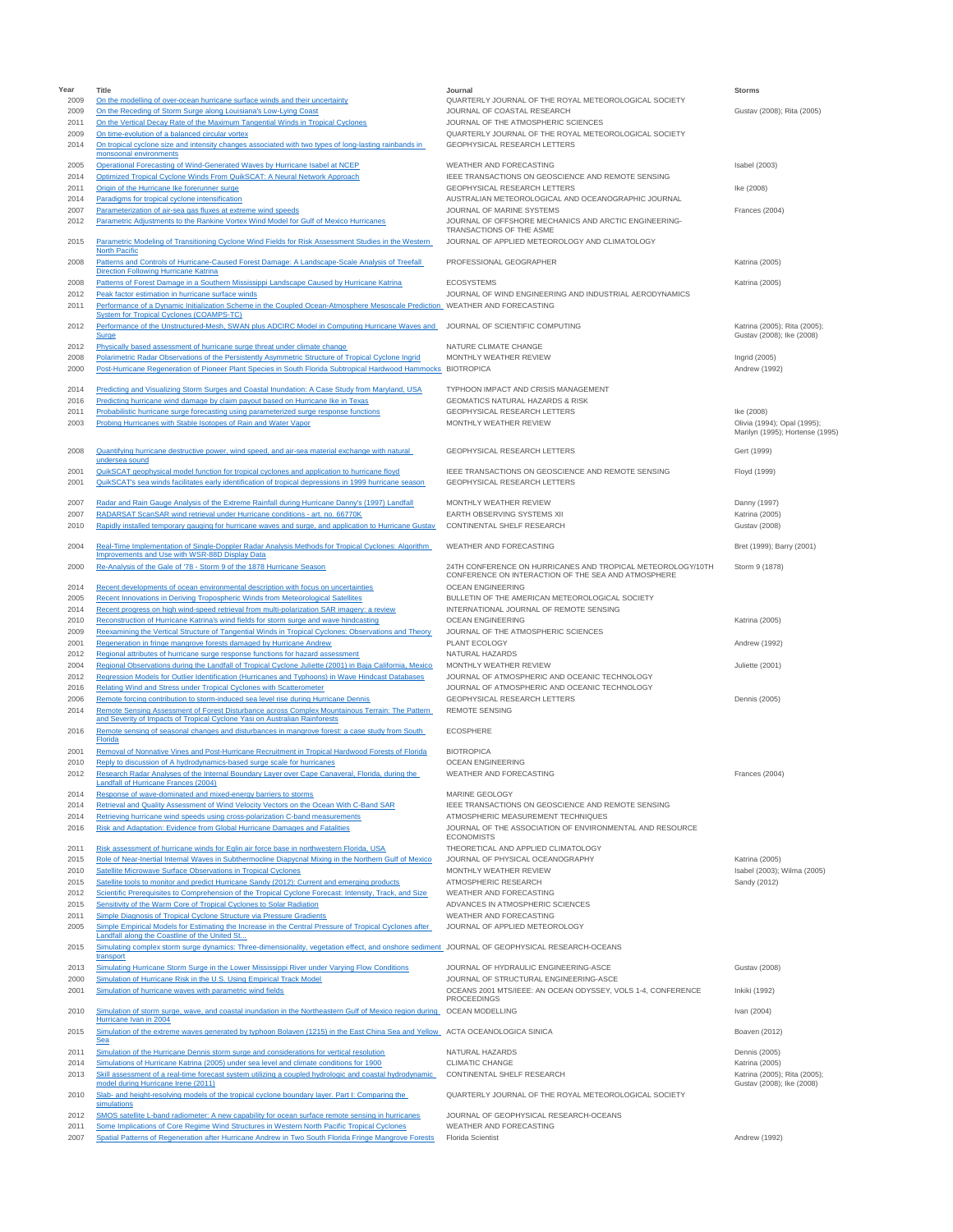| Year         | Title                                                                                                                                                                                                                 | Journal                                                                                                            | <b>Storms</b>                                             |
|--------------|-----------------------------------------------------------------------------------------------------------------------------------------------------------------------------------------------------------------------|--------------------------------------------------------------------------------------------------------------------|-----------------------------------------------------------|
| 2009<br>2009 | On the modelling of over-ocean hurricane surface winds and their uncertainty<br>On the Receding of Storm Surge along Louisiana's Low-Lying Coast                                                                      | QUARTERLY JOURNAL OF THE ROYAL METEOROLOGICAL SOCIETY<br>JOURNAL OF COASTAL RESEARCH                               | Gustav (2008); Rita (2005)                                |
| 2011         | On the Vertical Decay Rate of the Maximum Tangential Winds in Tropical Cyclones                                                                                                                                       | JOURNAL OF THE ATMOSPHERIC SCIENCES                                                                                |                                                           |
| 2009         | On time-evolution of a balanced circular vortex                                                                                                                                                                       | QUARTERLY JOURNAL OF THE ROYAL METEOROLOGICAL SOCIETY                                                              |                                                           |
| 2014         | On tropical cyclone size and intensity changes associated with two types of long-lasting rainbands in<br>monsoonal environments                                                                                       | GEOPHYSICAL RESEARCH LETTERS                                                                                       |                                                           |
| 2005         | Operational Forecasting of Wind-Generated Waves by Hurricane Isabel at NCEP                                                                                                                                           | WEATHER AND FORECASTING                                                                                            | Isabel (2003)                                             |
| 2014         | Optimized Tropical Cyclone Winds From QuikSCAT: A Neural Network Approach                                                                                                                                             | IEEE TRANSACTIONS ON GEOSCIENCE AND REMOTE SENSING<br><b>GEOPHYSICAL RESEARCH LETTERS</b>                          |                                                           |
| 2011<br>2014 | Origin of the Hurricane Ike forerunner surge<br>Paradigms for tropical cyclone intensification                                                                                                                        | AUSTRALIAN METEOROLOGICAL AND OCEANOGRAPHIC JOURNAL                                                                | Ike (2008)                                                |
| 2007         | Parameterization of air-sea gas fluxes at extreme wind speeds                                                                                                                                                         | JOURNAL OF MARINE SYSTEMS                                                                                          | Frances (2004)                                            |
| 2012         | Parametric Adjustments to the Rankine Vortex Wind Model for Gulf of Mexico Hurricanes                                                                                                                                 | JOURNAL OF OFFSHORE MECHANICS AND ARCTIC ENGINEERING-<br>TRANSACTIONS OF THE ASME                                  |                                                           |
| 2015         | Parametric Modeling of Transitioning Cyclone Wind Fields for Risk Assessment Studies in the Western                                                                                                                   | JOURNAL OF APPLIED METEOROLOGY AND CLIMATOLOGY                                                                     |                                                           |
| 2008         | <b>North Pacific</b><br>Patterns and Controls of Hurricane-Caused Forest Damage: A Landscape-Scale Analysis of Treefall                                                                                               | PROFESSIONAL GEOGRAPHER                                                                                            | Katrina (2005)                                            |
|              | <b>Direction Following Hurricane Katrina</b>                                                                                                                                                                          |                                                                                                                    |                                                           |
| 2008         | Patterns of Forest Damage in a Southern Mississippi Landscape Caused by Hurricane Katrina                                                                                                                             | <b>FCOSYSTEMS</b>                                                                                                  | Katrina (2005)                                            |
| 2012<br>2011 | Peak factor estimation in hurricane surface winds<br>Performance of a Dynamic Initialization Scheme in the Coupled Ocean-Atmosphere Mesoscale Prediction WEATHER AND FORECASTING                                      | JOURNAL OF WIND ENGINEERING AND INDUSTRIAL AERODYNAMICS                                                            |                                                           |
|              | <b>System for Tropical Cyclones (COAMPS-TC)</b>                                                                                                                                                                       |                                                                                                                    |                                                           |
| 2012         | Performance of the Unstructured-Mesh, SWAN plus ADCIRC Model in Computing Hurricane Waves and<br>Surge                                                                                                                | JOURNAL OF SCIENTIFIC COMPUTING                                                                                    | Katrina (2005); Rita (2005);<br>Gustav (2008); Ike (2008) |
| 2012         | Physically based assessment of hurricane surge threat under climate change                                                                                                                                            | NATURE CLIMATE CHANGE                                                                                              |                                                           |
| 2008<br>2000 | Polarimetric Radar Observations of the Persistently Asymmetric Structure of Tropical Cyclone Ingrid<br>Post-Hurricane Regeneration of Pioneer Plant Species in South Florida Subtropical Hardwood Hammocks BIOTROPICA | MONTHLY WEATHER REVIEW                                                                                             | Ingrid (2005)                                             |
|              |                                                                                                                                                                                                                       |                                                                                                                    | Andrew (1992)                                             |
| 2014         | Predicting and Visualizing Storm Surges and Coastal Inundation: A Case Study from Maryland, USA                                                                                                                       | TYPHOON IMPACT AND CRISIS MANAGEMENT                                                                               |                                                           |
| 2016<br>2011 | Predicting hurricane wind damage by claim payout based on Hurricane Ike in Texas<br>Probabilistic hurricane surge forecasting using parameterized surge response functions                                            | <b>GEOMATICS NATURAL HAZARDS &amp; RISK</b><br>GEOPHYSICAL RESEARCH LETTERS                                        | Ike (2008)                                                |
| 2003         | Probing Hurricanes with Stable Isotopes of Rain and Water Vapor                                                                                                                                                       | MONTHLY WEATHER REVIEW                                                                                             | Olivia (1994); Opal (1995);                               |
|              |                                                                                                                                                                                                                       |                                                                                                                    | Marilyn (1995); Hortense (1995)                           |
| 2008         | Quantifying hurricane destructive power, wind speed, and air-sea material exchange with natural                                                                                                                       | GEOPHYSICAL RESEARCH LETTERS                                                                                       | Gert (1999)                                               |
| 2001         | undersea sound<br>QuikSCAT geophysical model function for tropical cyclones and application to hurricane floyd                                                                                                        | IEEE TRANSACTIONS ON GEOSCIENCE AND REMOTE SENSING                                                                 | Floyd (1999)                                              |
| 2001         | QuikSCAT's sea winds facilitates early identification of tropical depressions in 1999 hurricane season                                                                                                                | GEOPHYSICAL RESEARCH LETTERS                                                                                       |                                                           |
| 2007         | Radar and Rain Gauge Analysis of the Extreme Rainfall during Hurricane Danny's (1997) Landfall                                                                                                                        | MONTHLY WEATHER REVIEW                                                                                             | Danny (1997)                                              |
| 2007         | RADARSAT ScanSAR wind retrieval under Hurricane conditions - art. no. 66770K                                                                                                                                          | EARTH OBSERVING SYSTEMS XII                                                                                        | Katrina (2005)                                            |
| 2010         | Rapidly installed temporary gauging for hurricane waves and surge, and application to Hurricane Gustav                                                                                                                | CONTINENTAL SHELF RESEARCH                                                                                         | <b>Gustav (2008)</b>                                      |
| 2004         | Real-Time Implementation of Single-Doppler Radar Analysis Methods for Tropical Cyclones: Algorithm                                                                                                                    | WEATHER AND FORECASTING                                                                                            | Bret (1999); Barry (2001)                                 |
|              | Improvements and Use with WSR-88D Display Data                                                                                                                                                                        |                                                                                                                    |                                                           |
| 2000         | Re-Analysis of the Gale of '78 - Storm 9 of the 1878 Hurricane Season                                                                                                                                                 | 24TH CONFERENCE ON HURRICANES AND TROPICAL METEOROLOGY/10TH<br>CONFERENCE ON INTERACTION OF THE SEA AND ATMOSPHERE | Storm 9 (1878)                                            |
| 2014         | Recent developments of ocean environmental description with focus on uncertainties                                                                                                                                    | OCEAN ENGINEERING                                                                                                  |                                                           |
| 2005<br>2014 | Recent Innovations in Deriving Tropospheric Winds from Meteorological Satellites<br>Recent progress on high wind-speed retrieval from multi-polarization SAR imagery: a review                                        | BULLETIN OF THE AMERICAN METEOROLOGICAL SOCIETY<br>INTERNATIONAL JOURNAL OF REMOTE SENSING                         |                                                           |
| 2010         | Reconstruction of Hurricane Katrina's wind fields for storm surge and wave hindcasting                                                                                                                                | <b>OCEAN ENGINEERING</b>                                                                                           | Katrina (2005)                                            |
| 2009         | Reexamining the Vertical Structure of Tangential Winds in Tropical Cyclones: Observations and Theory                                                                                                                  | JOURNAL OF THE ATMOSPHERIC SCIENCES                                                                                |                                                           |
| 2001<br>2012 | Regeneration in fringe mangrove forests damaged by Hurricane Andrew<br>Regional attributes of hurricane surge response functions for hazard assessment                                                                | PLANT ECOLOGY<br>NATURAL HAZARDS                                                                                   | Andrew (1992)                                             |
| 2004         | Regional Observations during the Landfall of Tropical Cyclone Juliette (2001) in Baja California, Mexico                                                                                                              | MONTHLY WEATHER REVIEW                                                                                             | Juliette (2001)                                           |
| 2012         | Regression Models for Outlier Identification (Hurricanes and Typhoons) in Wave Hindcast Databases                                                                                                                     | JOURNAL OF ATMOSPHERIC AND OCEANIC TECHNOLOGY                                                                      |                                                           |
| 2016<br>2006 | Relating Wind and Stress under Tropical Cyclones with Scatterometer<br>Remote forcing contribution to storm-induced sea level rise during Hurricane Dennis                                                            | JOURNAL OF ATMOSPHERIC AND OCEANIC TECHNOLOGY<br>GEOPHYSICAL RESEARCH LETTERS                                      | Dennis (2005)                                             |
| 2014         | Remote Sensing Assessment of Forest Disturbance across Complex Mountainous Terrain: The Pattern                                                                                                                       | <b>REMOTE SENSING</b>                                                                                              |                                                           |
| 2016         | and Severity of Impacts of Tropical Cyclone Yasi on Australian Rainforests<br>Remote sensing of seasonal changes and disturbances in mangrove forest: a case study from South                                         | <b>ECOSPHERE</b>                                                                                                   |                                                           |
|              | Florida                                                                                                                                                                                                               |                                                                                                                    |                                                           |
| 2001<br>2010 | Removal of Nonnative Vines and Post-Hurricane Recruitment in Tropical Hardwood Forests of Florida<br>Reply to discussion of A hydrodynamics-based surge scale for hurricanes                                          | <b>BIOTROPICA</b><br><b>OCEAN ENGINEERING</b>                                                                      |                                                           |
| 2012         | Research Radar Analyses of the Internal Boundary Layer over Cape Canaveral, Florida, during the                                                                                                                       | WEATHER AND FORECASTING                                                                                            | Frances (2004)                                            |
| 2014         | <b>Landfall of Hurricane Frances (2004)</b>                                                                                                                                                                           | MARINE GEOLOGY                                                                                                     |                                                           |
| 2014         | Response of wave-dominated and mixed-energy barriers to storms<br>Retrieval and Quality Assessment of Wind Velocity Vectors on the Ocean With C-Band SAR                                                              | IEEE TRANSACTIONS ON GEOSCIENCE AND REMOTE SENSING                                                                 |                                                           |
| 2014         | Retrieving hurricane wind speeds using cross-polarization C-band measurements                                                                                                                                         | ATMOSPHERIC MEASUREMENT TECHNIQUES                                                                                 |                                                           |
| 2016         | Risk and Adaptation: Evidence from Global Hurricane Damages and Fatalities                                                                                                                                            | JOURNAL OF THE ASSOCIATION OF ENVIRONMENTAL AND RESOURCE<br><b>ECONOMISTS</b>                                      |                                                           |
| 2011         | Risk assessment of hurricane winds for Eglin air force base in northwestern Florida, USA                                                                                                                              | THEORETICAL AND APPLIED CLIMATOLOGY                                                                                |                                                           |
| 2015         | Role of Near-Inertial Internal Waves in Subthermocline Diapycnal Mixing in the Northern Gulf of Mexico<br>Satellite Microwave Surface Observations in Tropical Cyclones                                               | JOURNAL OF PHYSICAL OCEANOGRAPHY                                                                                   | Katrina (2005)                                            |
| 2010<br>2015 | Satellite tools to monitor and predict Hurricane Sandy (2012): Current and emerging products                                                                                                                          | MONTHLY WEATHER REVIEW<br>ATMOSPHERIC RESEARCH                                                                     | Isabel (2003); Wilma (2005)<br>Sandy (2012)               |
| 2012         | Scientific Prerequisites to Comprehension of the Tropical Cyclone Forecast: Intensity, Track, and Size                                                                                                                | WEATHER AND FORECASTING                                                                                            |                                                           |
| 2015<br>2011 | Sensitivity of the Warm Core of Tropical Cyclones to Solar Radiation<br>Simple Diagnosis of Tropical Cyclone Structure via Pressure Gradients                                                                         | ADVANCES IN ATMOSPHERIC SCIENCES<br>WEATHER AND FORECASTING                                                        |                                                           |
| 2005         | Simple Empirical Models for Estimating the Increase in the Central Pressure of Tropical Cyclones after                                                                                                                | JOURNAL OF APPLIED METEOROLOGY                                                                                     |                                                           |
|              | Landfall along the Coastline of the United St                                                                                                                                                                         |                                                                                                                    |                                                           |
| 2015         | Simulating complex storm surge dynamics: Three-dimensionality, vegetation effect, and onshore sediment JOURNAL OF GEOPHYSICAL RESEARCH-OCEANS<br>transport                                                            |                                                                                                                    |                                                           |
| 2013         | Simulating Hurricane Storm Surge in the Lower Mississippi River under Varying Flow Conditions                                                                                                                         | JOURNAL OF HYDRAULIC ENGINEERING-ASCE                                                                              | <b>Gustav (2008)</b>                                      |
| 2000<br>2001 | Simulation of Hurricane Risk in the U.S. Using Empirical Track Model<br>Simulation of hurricane waves with parametric wind fields                                                                                     | JOURNAL OF STRUCTURAL ENGINEERING-ASCE<br>OCEANS 2001 MTS/IEEE: AN OCEAN ODYSSEY, VOLS 1-4, CONFERENCE             | Inkiki (1992)                                             |
|              |                                                                                                                                                                                                                       | <b>PROCEEDINGS</b>                                                                                                 |                                                           |
| 2010         | Simulation of storm surge, wave, and coastal inundation in the Northeastern Gulf of Mexico region during OCEAN MODELLING<br>Hurricane Ivan in 2004                                                                    |                                                                                                                    | Ivan (2004)                                               |
| 2015         | Simulation of the extreme waves generated by typhoon Bolaven (1215) in the East China Sea and Yellow ACTA OCEANOLOGICA SINICA                                                                                         |                                                                                                                    | Boaven (2012)                                             |
|              | Sea                                                                                                                                                                                                                   |                                                                                                                    |                                                           |
| 2011<br>2014 | Simulation of the Hurricane Dennis storm surge and considerations for vertical resolution<br>Simulations of Hurricane Katrina (2005) under sea level and climate conditions for 1900                                  | NATURAL HAZARDS<br><b>CLIMATIC CHANGE</b>                                                                          | Dennis (2005)<br><b>Katrina</b> (2005)                    |
| 2013         | Skill assessment of a real-time forecast system utilizing a coupled hydrologic and coastal hydrodynamic                                                                                                               | CONTINENTAL SHELF RESEARCH                                                                                         | Katrina (2005); Rita (2005);                              |
| 2010         | model during Hurricane Irene (2011)<br>Slab- and height-resolving models of the tropical cyclone boundary layer. Part I: Comparing the                                                                                | QUARTERLY JOURNAL OF THE ROYAL METEOROLOGICAL SOCIETY                                                              | Gustav (2008); Ike (2008)                                 |
|              | simulations                                                                                                                                                                                                           |                                                                                                                    |                                                           |
| 2012<br>2011 | SMOS satellite L-band radiometer: A new capability for ocean surface remote sensing in hurricanes<br>Some Implications of Core Regime Wind Structures in Western North Pacific Tropical Cyclones                      | JOURNAL OF GEOPHYSICAL RESEARCH-OCEANS<br>WEATHER AND FORECASTING                                                  |                                                           |
| 2007         | Spatial Patterns of Regeneration after Hurricane Andrew in Two South Florida Fringe Mangrove Forests                                                                                                                  | Florida Scientist                                                                                                  | Andrew (1992)                                             |
|              |                                                                                                                                                                                                                       |                                                                                                                    |                                                           |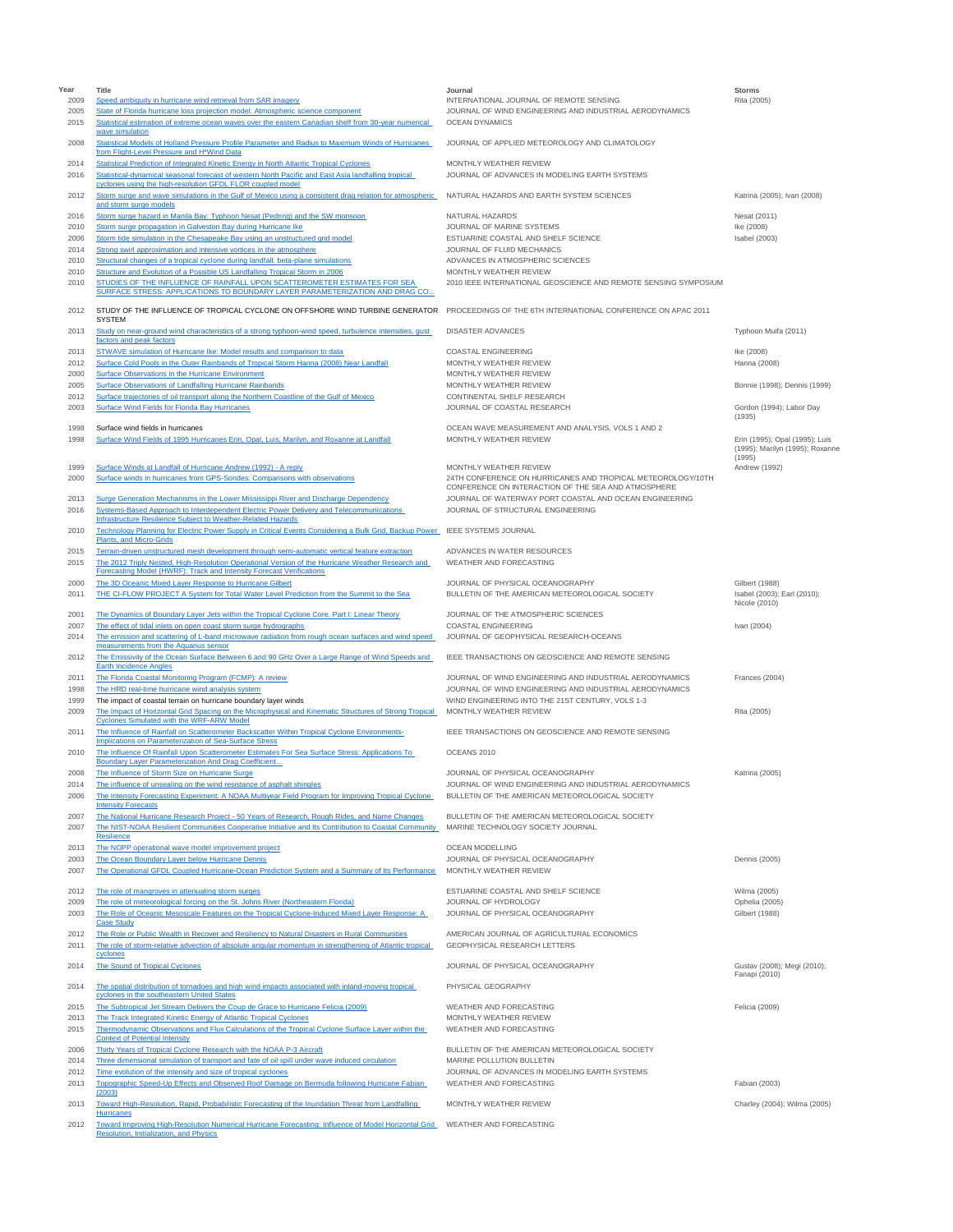| Year         | Title                                                                                                                                                                                                                                   | Journal                                                                                            | <b>Storms</b>                                                     |
|--------------|-----------------------------------------------------------------------------------------------------------------------------------------------------------------------------------------------------------------------------------------|----------------------------------------------------------------------------------------------------|-------------------------------------------------------------------|
| 2009<br>2005 | Speed ambiguity in hurricane wind retrieval from SAR imagery<br>State of Florida hurricane loss projection model: Atmospheric science component                                                                                         | INTERNATIONAL JOURNAL OF REMOTE SENSING<br>JOURNAL OF WIND ENGINEERING AND INDUSTRIAL AERODYNAMICS | Rita (2005)                                                       |
| 2015         | Statistical estimation of extreme ocean waves over the eastern Canadian shelf from 30-year numerical<br>wave simulation                                                                                                                 | OCEAN DYNAMICS                                                                                     |                                                                   |
| 2008         | Statistical Models of Holland Pressure Profile Parameter and Radius to Maximum Winds of Hurricanes<br>from Flight-Level Pressure and H*Wind Data                                                                                        | JOURNAL OF APPLIED METEOROLOGY AND CLIMATOLOGY                                                     |                                                                   |
| 2014<br>2016 | Statistical Prediction of Integrated Kinetic Energy in North Atlantic Tropical Cyclones<br>Statistical-dynamical seasonal forecast of western North Pacific and East Asia landfalling tropical                                          | MONTHLY WEATHER REVIEW<br>JOURNAL OF ADVANCES IN MODELING EARTH SYSTEMS                            |                                                                   |
| 2012         | cyclones using the high-resolution GFDL FLOR coupled model<br>Storm surge and wave simulations in the Gulf of Mexico using a consistent drag relation for atmospheric                                                                   | NATURAL HAZARDS AND EARTH SYSTEM SCIENCES                                                          | Katrina (2005); Ivan (2008)                                       |
| 2016         | and storm surge models<br>Storm surge hazard in Manila Bay: Typhoon Nesat (Pedring) and the SW monsoon                                                                                                                                  | NATURAL HAZARDS                                                                                    | Nesat (2011)                                                      |
| 2010         | Storm surge propagation in Galveston Bay during Hurricane Ike                                                                                                                                                                           | JOURNAL OF MARINE SYSTEMS                                                                          | Ike (2008)                                                        |
| 2006         | Storm tide simulation in the Chesapeake Bay using an unstructured grid model                                                                                                                                                            | ESTUARINE COASTAL AND SHELF SCIENCE                                                                | Isabel (2003)                                                     |
| 2014         | Strong swirl approximation and intensive vortices in the atmosphere                                                                                                                                                                     | JOURNAL OF FLUID MECHANICS                                                                         |                                                                   |
| 2010         | Structural changes of a tropical cyclone during landfall: beta-plane simulations                                                                                                                                                        | ADVANCES IN ATMOSPHERIC SCIENCES                                                                   |                                                                   |
| 2010<br>2010 | Structure and Evolution of a Possible US Landfalling Tropical Storm in 2006<br>STUDIES OF THE INFLUENCE OF RAINFALL UPON SCATTEROMETER ESTIMATES FOR SEA<br>SURFACE STRESS: APPLICATIONS TO BOUNDARY LAYER PARAMETERIZATION AND DRAG CO | MONTHLY WEATHER REVIEW<br>2010 IEEE INTERNATIONAL GEOSCIENCE AND REMOTE SENSING SYMPOSIUM          |                                                                   |
| 2012         | STUDY OF THE INFLUENCE OF TROPICAL CYCLONE ON OFFSHORE WIND TURBINE GENERATOR<br><b>SYSTEM</b>                                                                                                                                          | PROCEEDINGS OF THE 6TH INTERNATIONAL CONFERENCE ON APAC 2011                                       |                                                                   |
| 2013         | Study on near-ground wind characteristics of a strong typhoon-wind speed, turbulence intensities, gust<br>factors and peak factors                                                                                                      | <b>DISASTER ADVANCES</b>                                                                           | Typhoon Muifa (2011)                                              |
| 2013         | STWAVE simulation of Hurricane Ike: Model results and comparison to data                                                                                                                                                                | <b>COASTAL ENGINEERING</b>                                                                         | Ike (2008)                                                        |
| 2012         | Surface Cold Pools in the Outer Rainbands of Tropical Storm Hanna (2008) Near Landfall                                                                                                                                                  | MONTHLY WEATHER REVIEW                                                                             | Hanna (2008)                                                      |
| 2000         | <b>Surface Observations in the Hurricane Environment</b>                                                                                                                                                                                | MONTHLY WEATHER REVIEW                                                                             |                                                                   |
| 2005         | Surface Observations of Landfalling Hurricane Rainbands                                                                                                                                                                                 | MONTHLY WEATHER REVIEW                                                                             | Bonnie (1998); Dennis (1999)                                      |
| 2012         | Surface trajectories of oil transport along the Northern Coastline of the Gulf of Mexico                                                                                                                                                | CONTINENTAL SHELF RESEARCH                                                                         |                                                                   |
| 2003         | Surface Wind Fields for Florida Bay Hurricanes                                                                                                                                                                                          | JOURNAL OF COASTAL RESEARCH                                                                        | Gordon (1994); Labor Day<br>(1935)                                |
| 1998         | Surface wind fields in hurricanes                                                                                                                                                                                                       | OCEAN WAVE MEASUREMENT AND ANALYSIS, VOLS 1 AND 2                                                  |                                                                   |
| 1998         | Surface Wind Fields of 1995 Hurricanes Erin, Opal, Luis, Marilyn, and Roxanne at Landfall                                                                                                                                               | MONTHLY WEATHER REVIEW                                                                             | Erin (1995); Opal (1995); Luis<br>(1995); Marilyn (1995); Roxanne |
| 1999         | Surface Winds at Landfall of Hurricane Andrew (1992) - A reply                                                                                                                                                                          | MONTHLY WEATHER REVIEW                                                                             | (1995)<br>Andrew (1992)                                           |
| 2000         | Surface winds in hurricanes from GPS-Sondes: Comparisons with observations                                                                                                                                                              | 24TH CONFERENCE ON HURRICANES AND TROPICAL METEOROLOGY/10TH                                        |                                                                   |
|              |                                                                                                                                                                                                                                         | CONFERENCE ON INTERACTION OF THE SEA AND ATMOSPHERE                                                |                                                                   |
| 2013<br>2016 | Surge Generation Mechanisms in the Lower Mississippi River and Discharge Dependency<br>Systems-Based Approach to Interdependent Electric Power Delivery and Telecommunications                                                          | JOURNAL OF WATERWAY PORT COASTAL AND OCEAN ENGINEERING<br>JOURNAL OF STRUCTURAL ENGINEERING        |                                                                   |
| 2010         | Infrastructure Resilience Subject to Weather-Related Hazards<br>Technology Planning for Electric Power Supply in Critical Events Considering a Bulk Grid, Backup Power<br>Plants, and Micro-Grids                                       | <b>IEEE SYSTEMS JOURNAL</b>                                                                        |                                                                   |
| 2015<br>2015 | Terrain-driven unstructured mesh development through semi-automatic vertical feature extraction<br>The 2012 Triply Nested, High-Resolution Operational Version of the Hurricane Weather Research and                                    | ADVANCES IN WATER RESOURCES<br>WEATHER AND FORECASTING                                             |                                                                   |
|              | Forecasting Model (HWRF): Track and Intensity Forecast Verifications                                                                                                                                                                    |                                                                                                    |                                                                   |
| 2000<br>2011 | The 3D Oceanic Mixed Layer Response to Hurricane Gilbert<br>THE CI-FLOW PROJECT A System for Total Water Level Prediction from the Summit to the Sea                                                                                    | JOURNAL OF PHYSICAL OCEANOGRAPHY<br>BULLETIN OF THE AMERICAN METEOROLOGICAL SOCIETY                | Gilbert (1988)<br>Isabel (2003); Earl (2010);<br>Nicole (2010)    |
| 2001         | The Dynamics of Boundary Layer Jets within the Tropical Cyclone Core. Part I: Linear Theory                                                                                                                                             | JOURNAL OF THE ATMOSPHERIC SCIENCES                                                                |                                                                   |
| 2007         | The effect of tidal inlets on open coast storm surge hydrographs                                                                                                                                                                        | COASTAL ENGINEERING                                                                                | Ivan (2004)                                                       |
| 2014         | The emission and scattering of L-band microwave radiation from rough ocean surfaces and wind speed                                                                                                                                      | JOURNAL OF GEOPHYSICAL RESEARCH-OCEANS                                                             |                                                                   |
| 2012         | measurements from the Aquarius sensor<br>The Emissivity of the Ocean Surface Between 6 and 90 GHz Over a Large Range of Wind Speeds and<br><b>Earth Incidence Angles</b>                                                                | IEEE TRANSACTIONS ON GEOSCIENCE AND REMOTE SENSING                                                 |                                                                   |
| 2011         | The Florida Coastal Monitoring Program (FCMP): A review                                                                                                                                                                                 | JOURNAL OF WIND ENGINEERING AND INDUSTRIAL AERODYNAMICS                                            | Frances (2004)                                                    |
| 1998         | The HRD real-time hurricane wind analysis system                                                                                                                                                                                        | JOURNAL OF WIND ENGINEERING AND INDUSTRIAL AERODYNAMICS                                            |                                                                   |
| 1999         | The impact of coastal terrain on hurricane boundary layer winds                                                                                                                                                                         | WIND ENGINEERING INTO THE 21ST CENTURY, VOLS 1-3                                                   |                                                                   |
| 2009         | The Impact of Horizontal Grid Spacing on the Microphysical and Kinematic Structures of Strong Tropical                                                                                                                                  | MONTHLY WEATHER REVIEW                                                                             | Rita (2005)                                                       |
| 2011         | Cyclones Simulated with the WRF-ARW Model<br>The Influence of Rainfall on Scatterometer Backscatter Within Tropical Cyclone Environments-                                                                                               | IEEE TRANSACTIONS ON GEOSCIENCE AND REMOTE SENSING                                                 |                                                                   |
| 2010         | Implications on Parameterization of Sea-Surface Stress<br>The Influence Of Rainfall Upon Scatterometer Estimates For Sea Surface Stress: Applications To<br>Boundary Layer Parameterization And Drag Coefficient                        | OCEANS 2010                                                                                        |                                                                   |
| 2008         | The Influence of Storm Size on Hurricane Surge                                                                                                                                                                                          | JOURNAL OF PHYSICAL OCEANOGRAPHY                                                                   | Katrina (2005)                                                    |
| 2014         | The influence of unsealing on the wind resistance of asphalt shingles                                                                                                                                                                   | JOURNAL OF WIND ENGINEERING AND INDUSTRIAL AERODYNAMICS                                            |                                                                   |
| 2006         | The Intensity Forecasting Experiment: A NOAA Multiyear Field Program for Improving Tropical Cyclone                                                                                                                                     | BULLETIN OF THE AMERICAN METEOROLOGICAL SOCIETY                                                    |                                                                   |
|              | <b>Intensity Forecasts</b>                                                                                                                                                                                                              |                                                                                                    |                                                                   |
| 2007<br>2007 | The National Hurricane Research Project - 50 Years of Research, Rough Rides, and Name Changes<br>The NIST-NOAA Resilient Communities Cooperative Initiative and Its Contribution to Coastal Community<br>Resilience                     | BULLETIN OF THE AMERICAN METEOROLOGICAL SOCIETY<br>MARINE TECHNOLOGY SOCIETY JOURNAL               |                                                                   |
| 2013         | The NOPP operational wave model improvement project                                                                                                                                                                                     | OCEAN MODELLING                                                                                    |                                                                   |
| 2003         | The Ocean Boundary Layer below Hurricane Dennis                                                                                                                                                                                         | JOURNAL OF PHYSICAL OCEANOGRAPHY                                                                   | Dennis (2005)                                                     |
| 2007         | The Operational GFDL Coupled Hurricane-Ocean Prediction System and a Summary of Its Performance                                                                                                                                         | MONTHLY WEATHER REVIEW                                                                             |                                                                   |
|              |                                                                                                                                                                                                                                         |                                                                                                    |                                                                   |
| 2012         | The role of mangroves in attenuating storm surges                                                                                                                                                                                       | ESTUARINE COASTAL AND SHELF SCIENCE                                                                | Wilma (2005)                                                      |
| 2009<br>2003 | The role of meteorological forcing on the St. Johns River (Northeastern Florida)<br>The Role of Oceanic Mesoscale Features on the Tropical Cyclone-Induced Mixed Layer Response: A                                                      | JOURNAL OF HYDROLOGY<br>JOURNAL OF PHYSICAL OCEANOGRAPHY                                           | Ophelia (2005)<br>Gilbert (1988)                                  |
|              | <b>Case Study</b>                                                                                                                                                                                                                       |                                                                                                    |                                                                   |
| 2012         | The Role or Public Wealth in Recover and Resiliency to Natural Disasters in Rural Communities                                                                                                                                           | AMERICAN JOURNAL OF AGRICULTURAL ECONOMICS                                                         |                                                                   |
| 2011         | The role of storm-relative advection of absolute angular momentum in strengthening of Atlantic tropical<br>cyclones                                                                                                                     | GEOPHYSICAL RESEARCH LETTERS                                                                       |                                                                   |
| 2014         | <b>The Sound of Tropical Cyclones</b>                                                                                                                                                                                                   | JOURNAL OF PHYSICAL OCEANOGRAPHY                                                                   | Gustav (2008); Megi (2010);<br>Fanapi (2010)                      |
| 2014         | The spatial distribution of tornadoes and high wind impacts associated with inland-moving tropical<br>cyclones in the southeastern United States                                                                                        | PHYSICAL GEOGRAPHY                                                                                 |                                                                   |
| 2015         | The Subtropical Jet Stream Delivers the Coup de Grace to Hurricane Felicia (2009)                                                                                                                                                       | WEATHER AND FORECASTING                                                                            | Felicia (2009)                                                    |
| 2013         | The Track Integrated Kinetic Energy of Atlantic Tropical Cyclones                                                                                                                                                                       | MONTHLY WEATHER REVIEW                                                                             |                                                                   |
| 2015         | Thermodynamic Observations and Flux Calculations of the Tropical Cyclone Surface Layer within the                                                                                                                                       | WEATHER AND FORECASTING                                                                            |                                                                   |
| 2006<br>2014 | <b>Context of Potential Intensity</b><br>Thirty Years of Tropical Cyclone Research with the NOAA P-3 Aircraft<br>Three dimensional simulation of transport and fate of oil spill under wave induced circulation                         | BULLETIN OF THE AMERICAN METEOROLOGICAL SOCIETY<br>MARINE POLLUTION BULLETIN                       |                                                                   |
| 2012         | Time evolution of the intensity and size of tropical cyclones                                                                                                                                                                           | JOURNAL OF ADVANCES IN MODELING EARTH SYSTEMS                                                      |                                                                   |
| 2013         | Topographic Speed-Up Effects and Observed Roof Damage on Bermuda following Hurricane Fabian<br>(2003)                                                                                                                                   | WEATHER AND FORECASTING                                                                            | Fabian (2003)                                                     |
| 2013         | Toward High-Resolution, Rapid, Probabilistic Forecasting of the Inundation Threat from Landfalling                                                                                                                                      | MONTHLY WEATHER REVIEW                                                                             | Charley (2004); Wilma (2005)                                      |
| 2012         | Hurricanes<br>Toward Improving High-Resolution Numerical Hurricane Forecasting: Influence of Model Horizontal Grid<br>Resolution, Initialization, and Physics                                                                           | WEATHER AND FORECASTING                                                                            |                                                                   |
|              |                                                                                                                                                                                                                                         |                                                                                                    |                                                                   |